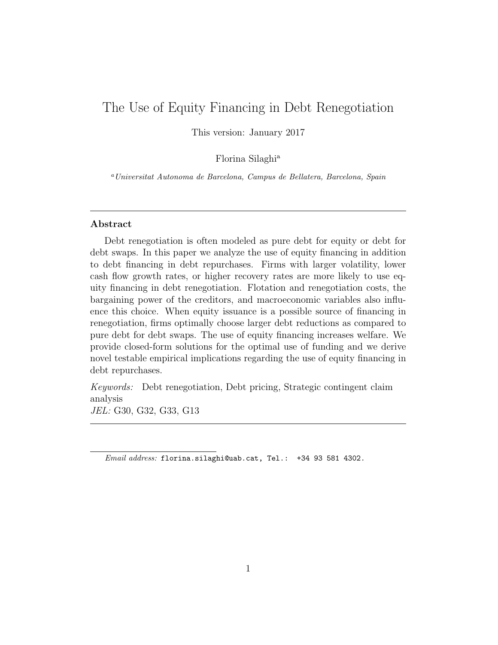# The Use of Equity Financing in Debt Renegotiation

This version: January 2017

Florina Silaghi<sup>a</sup>

<sup>a</sup>Universitat Autonoma de Barcelona, Campus de Bellatera, Barcelona, Spain

### Abstract

Debt renegotiation is often modeled as pure debt for equity or debt for debt swaps. In this paper we analyze the use of equity financing in addition to debt financing in debt repurchases. Firms with larger volatility, lower cash flow growth rates, or higher recovery rates are more likely to use equity financing in debt renegotiation. Flotation and renegotiation costs, the bargaining power of the creditors, and macroeconomic variables also influence this choice. When equity issuance is a possible source of financing in renegotiation, firms optimally choose larger debt reductions as compared to pure debt for debt swaps. The use of equity financing increases welfare. We provide closed-form solutions for the optimal use of funding and we derive novel testable empirical implications regarding the use of equity financing in debt repurchases.

Keywords: Debt renegotiation, Debt pricing, Strategic contingent claim analysis JEL: G30, G32, G33, G13

Email address: florina.silaghi@uab.cat, Tel.: +34 93 581 4302.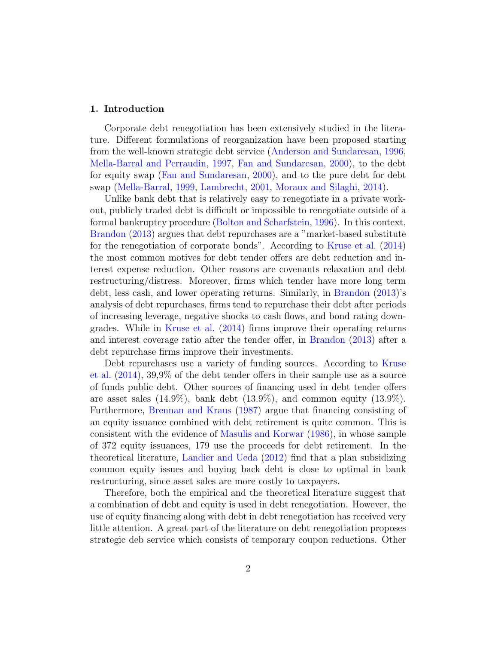#### 1. Introduction

Corporate debt renegotiation has been extensively studied in the literature. Different formulations of reorganization have been proposed starting from the well-known strategic debt service [\(Anderson and Sundaresan,](#page-37-0) [1996,](#page-37-0) [Mella-Barral and Perraudin,](#page-38-0) [1997,](#page-38-0) [Fan and Sundaresan,](#page-37-1) [2000\)](#page-37-1), to the debt for equity swap [\(Fan and Sundaresan,](#page-37-1) [2000\)](#page-37-1), and to the pure debt for debt swap [\(Mella-Barral,](#page-38-1) [1999,](#page-38-1) [Lambrecht,](#page-38-2) [2001,](#page-38-2) [Moraux and Silaghi,](#page-38-3) [2014\)](#page-38-3).

Unlike bank debt that is relatively easy to renegotiate in a private workout, publicly traded debt is difficult or impossible to renegotiate outside of a formal bankruptcy procedure [\(Bolton and Scharfstein,](#page-37-2) [1996\)](#page-37-2). In this context, [Brandon](#page-37-3) [\(2013\)](#page-37-3) argues that debt repurchases are a "market-based substitute for the renegotiation of corporate bonds". According to [Kruse et al.](#page-38-4) [\(2014\)](#page-38-4) the most common motives for debt tender offers are debt reduction and interest expense reduction. Other reasons are covenants relaxation and debt restructuring/distress. Moreover, firms which tender have more long term debt, less cash, and lower operating returns. Similarly, in [Brandon](#page-37-3) [\(2013\)](#page-37-3)'s analysis of debt repurchases, firms tend to repurchase their debt after periods of increasing leverage, negative shocks to cash flows, and bond rating downgrades. While in [Kruse et al.](#page-38-4) [\(2014\)](#page-38-4) firms improve their operating returns and interest coverage ratio after the tender offer, in [Brandon](#page-37-3) [\(2013\)](#page-37-3) after a debt repurchase firms improve their investments.

Debt repurchases use a variety of funding sources. According to [Kruse](#page-38-4) [et al.](#page-38-4) [\(2014\)](#page-38-4), 39,9% of the debt tender offers in their sample use as a source of funds public debt. Other sources of financing used in debt tender offers are asset sales  $(14.9\%)$ , bank debt  $(13.9\%)$ , and common equity  $(13.9\%)$ . Furthermore, [Brennan and Kraus](#page-37-4) [\(1987\)](#page-37-4) argue that financing consisting of an equity issuance combined with debt retirement is quite common. This is consistent with the evidence of [Masulis and Korwar](#page-38-5) [\(1986\)](#page-38-5), in whose sample of 372 equity issuances, 179 use the proceeds for debt retirement. In the theoretical literature, [Landier and Ueda](#page-38-6) [\(2012\)](#page-38-6) find that a plan subsidizing common equity issues and buying back debt is close to optimal in bank restructuring, since asset sales are more costly to taxpayers.

Therefore, both the empirical and the theoretical literature suggest that a combination of debt and equity is used in debt renegotiation. However, the use of equity financing along with debt in debt renegotiation has received very little attention. A great part of the literature on debt renegotiation proposes strategic deb service which consists of temporary coupon reductions. Other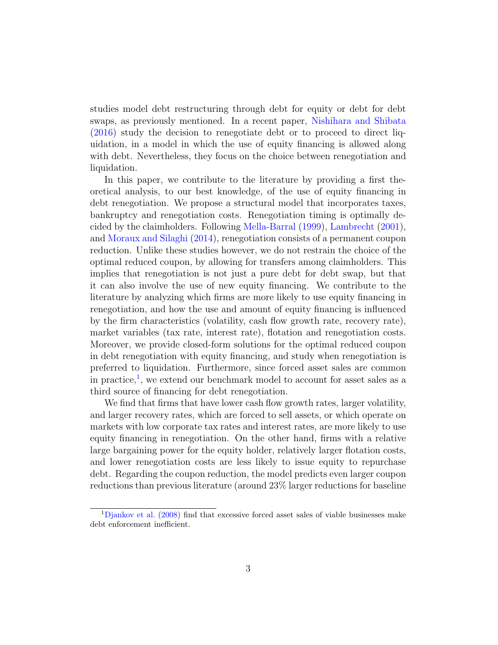studies model debt restructuring through debt for equity or debt for debt swaps, as previously mentioned. In a recent paper, [Nishihara and Shibata](#page-38-7) [\(2016\)](#page-38-7) study the decision to renegotiate debt or to proceed to direct liquidation, in a model in which the use of equity financing is allowed along with debt. Nevertheless, they focus on the choice between renegotiation and liquidation.

In this paper, we contribute to the literature by providing a first theoretical analysis, to our best knowledge, of the use of equity financing in debt renegotiation. We propose a structural model that incorporates taxes, bankruptcy and renegotiation costs. Renegotiation timing is optimally decided by the claimholders. Following [Mella-Barral](#page-38-1) [\(1999\)](#page-38-1), [Lambrecht](#page-38-2) [\(2001\)](#page-38-2), and [Moraux and Silaghi](#page-38-3) [\(2014\)](#page-38-3), renegotiation consists of a permanent coupon reduction. Unlike these studies however, we do not restrain the choice of the optimal reduced coupon, by allowing for transfers among claimholders. This implies that renegotiation is not just a pure debt for debt swap, but that it can also involve the use of new equity financing. We contribute to the literature by analyzing which firms are more likely to use equity financing in renegotiation, and how the use and amount of equity financing is influenced by the firm characteristics (volatility, cash flow growth rate, recovery rate), market variables (tax rate, interest rate), flotation and renegotiation costs. Moreover, we provide closed-form solutions for the optimal reduced coupon in debt renegotiation with equity financing, and study when renegotiation is preferred to liquidation. Furthermore, since forced asset sales are common in practice,<sup>[1](#page-2-0)</sup>, we extend our benchmark model to account for asset sales as a third source of financing for debt renegotiation.

We find that firms that have lower cash flow growth rates, larger volatility, and larger recovery rates, which are forced to sell assets, or which operate on markets with low corporate tax rates and interest rates, are more likely to use equity financing in renegotiation. On the other hand, firms with a relative large bargaining power for the equity holder, relatively larger flotation costs, and lower renegotiation costs are less likely to issue equity to repurchase debt. Regarding the coupon reduction, the model predicts even larger coupon reductions than previous literature (around 23% larger reductions for baseline

<span id="page-2-0"></span><sup>&</sup>lt;sup>1</sup>[Djankov et al.](#page-37-5) [\(2008\)](#page-37-5) find that excessive forced asset sales of viable businesses make debt enforcement inefficient.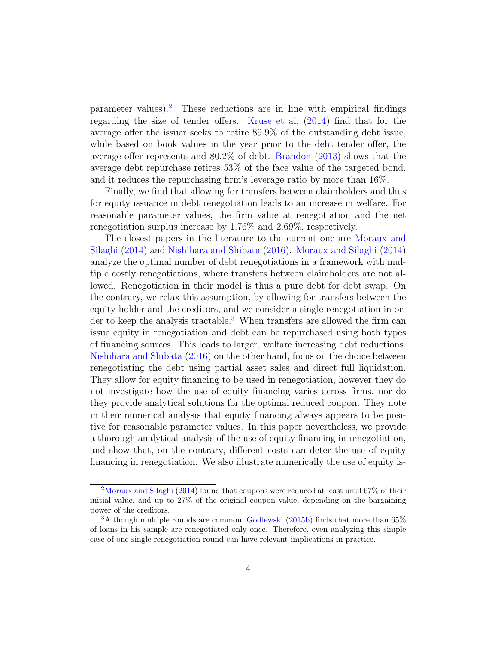$\mu$  parameter values).<sup>[2](#page-3-0)</sup> These reductions are in line with empirical findings regarding the size of tender offers. [Kruse et al.](#page-38-4) [\(2014\)](#page-38-4) find that for the average offer the issuer seeks to retire 89.9% of the outstanding debt issue, while based on book values in the year prior to the debt tender offer, the average offer represents and 80.2% of debt. [Brandon](#page-37-3) [\(2013\)](#page-37-3) shows that the average debt repurchase retires 53% of the face value of the targeted bond, and it reduces the repurchasing firm's leverage ratio by more than 16%.

Finally, we find that allowing for transfers between claimholders and thus for equity issuance in debt renegotiation leads to an increase in welfare. For reasonable parameter values, the firm value at renegotiation and the net renegotiation surplus increase by 1.76% and 2.69%, respectively.

The closest papers in the literature to the current one are [Moraux and](#page-38-3) [Silaghi](#page-38-3) [\(2014\)](#page-38-3) and [Nishihara and Shibata](#page-38-7) [\(2016\)](#page-38-7). [Moraux and Silaghi](#page-38-3) [\(2014\)](#page-38-3) analyze the optimal number of debt renegotiations in a framework with multiple costly renegotiations, where transfers between claimholders are not allowed. Renegotiation in their model is thus a pure debt for debt swap. On the contrary, we relax this assumption, by allowing for transfers between the equity holder and the creditors, and we consider a single renegotiation in or-der to keep the analysis tractable.<sup>[3](#page-3-1)</sup> When transfers are allowed the firm can issue equity in renegotiation and debt can be repurchased using both types of financing sources. This leads to larger, welfare increasing debt reductions. [Nishihara and Shibata](#page-38-7) [\(2016\)](#page-38-7) on the other hand, focus on the choice between renegotiating the debt using partial asset sales and direct full liquidation. They allow for equity financing to be used in renegotiation, however they do not investigate how the use of equity financing varies across firms, nor do they provide analytical solutions for the optimal reduced coupon. They note in their numerical analysis that equity financing always appears to be positive for reasonable parameter values. In this paper nevertheless, we provide a thorough analytical analysis of the use of equity financing in renegotiation, and show that, on the contrary, different costs can deter the use of equity financing in renegotiation. We also illustrate numerically the use of equity is-

<span id="page-3-0"></span><sup>2</sup>[Moraux and Silaghi](#page-38-3) [\(2014\)](#page-38-3) found that coupons were reduced at least until 67% of their initial value, and up to 27% of the original coupon value, depending on the bargaining power of the creditors.

<span id="page-3-1"></span><sup>3</sup>Although multiple rounds are common, [Godlewski](#page-37-6) [\(2015b\)](#page-37-6) finds that more than 65% of loans in his sample are renegotiated only once. Therefore, even analyzing this simple case of one single renegotiation round can have relevant implications in practice.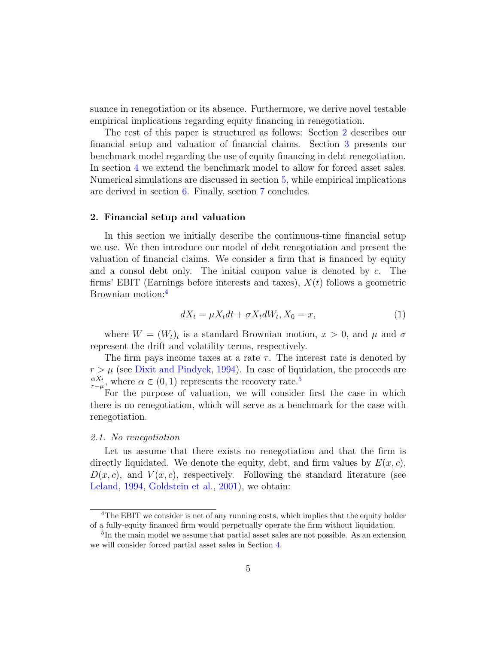suance in renegotiation or its absence. Furthermore, we derive novel testable empirical implications regarding equity financing in renegotiation.

The rest of this paper is structured as follows: Section [2](#page-4-0) describes our financial setup and valuation of financial claims. Section [3](#page-8-0) presents our benchmark model regarding the use of equity financing in debt renegotiation. In section [4](#page-17-0) we extend the benchmark model to allow for forced asset sales. Numerical simulations are discussed in section [5,](#page-20-0) while empirical implications are derived in section [6.](#page-31-0) Finally, section [7](#page-33-0) concludes.

#### <span id="page-4-0"></span>2. Financial setup and valuation

In this section we initially describe the continuous-time financial setup we use. We then introduce our model of debt renegotiation and present the valuation of financial claims. We consider a firm that is financed by equity and a consol debt only. The initial coupon value is denoted by c. The firms' EBIT (Earnings before interests and taxes),  $X(t)$  follows a geometric Brownian motion:[4](#page-4-1)

$$
dX_t = \mu X_t dt + \sigma X_t dW_t, X_0 = x,\tag{1}
$$

where  $W = (W_t)_t$  is a standard Brownian motion,  $x > 0$ , and  $\mu$  and  $\sigma$ represent the drift and volatility terms, respectively.

The firm pays income taxes at a rate  $\tau$ . The interest rate is denoted by  $r > \mu$  (see [Dixit and Pindyck,](#page-37-7) [1994\)](#page-37-7). In case of liquidation, the proceeds are  $\alpha X_t$  $\frac{\alpha X_t}{r-\mu}$ , where  $\alpha \in (0,1)$  represents the recovery rate.<sup>[5](#page-4-2)</sup>

For the purpose of valuation, we will consider first the case in which there is no renegotiation, which will serve as a benchmark for the case with renegotiation.

#### 2.1. No renegotiation

Let us assume that there exists no renegotiation and that the firm is directly liquidated. We denote the equity, debt, and firm values by  $E(x, c)$ ,  $D(x, c)$ , and  $V(x, c)$ , respectively. Following the standard literature (see [Leland,](#page-38-8) [1994,](#page-38-8) [Goldstein et al.,](#page-38-9) [2001\)](#page-38-9), we obtain:

<span id="page-4-1"></span><sup>&</sup>lt;sup>4</sup>The EBIT we consider is net of any running costs, which implies that the equity holder of a fully-equity financed firm would perpetually operate the firm without liquidation.

<span id="page-4-2"></span><sup>&</sup>lt;sup>5</sup>In the main model we assume that partial asset sales are not possible. As an extension we will consider forced partial asset sales in Section [4.](#page-17-0)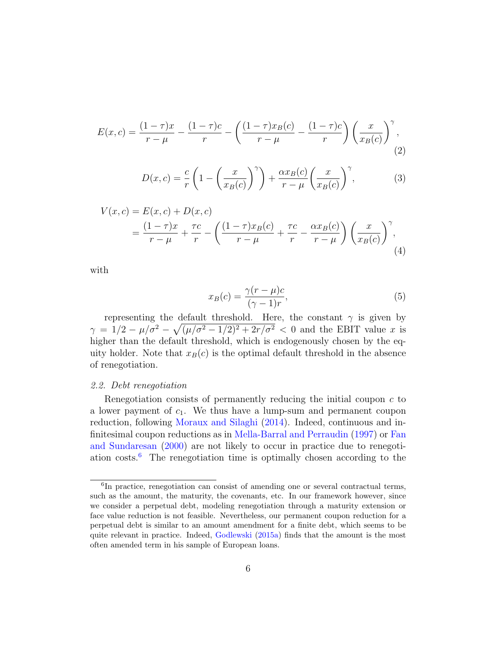$$
E(x,c) = \frac{(1-\tau)x}{r-\mu} - \frac{(1-\tau)c}{r} - \left(\frac{(1-\tau)x_B(c)}{r-\mu} - \frac{(1-\tau)c}{r}\right) \left(\frac{x}{x_B(c)}\right)^{\gamma},\tag{2}
$$

<span id="page-5-1"></span>
$$
D(x,c) = \frac{c}{r} \left( 1 - \left(\frac{x}{x_B(c)}\right)^{\gamma} \right) + \frac{\alpha x_B(c)}{r - \mu} \left(\frac{x}{x_B(c)}\right)^{\gamma},\tag{3}
$$

$$
V(x, c) = E(x, c) + D(x, c)
$$
  
=  $\frac{(1 - \tau)x}{r - \mu} + \frac{\tau c}{r} - \left(\frac{(1 - \tau)x_B(c)}{r - \mu} + \frac{\tau c}{r} - \frac{\alpha x_B(c)}{r - \mu}\right) \left(\frac{x}{x_B(c)}\right)^{\gamma}$ , (4)

with

$$
x_B(c) = \frac{\gamma(r - \mu)c}{(\gamma - 1)r},\tag{5}
$$

representing the default threshold. Here, the constant  $\gamma$  is given by  $\gamma = 1/2 - \mu/\sigma^2 - \sqrt{(\mu/\sigma^2 - 1/2)^2 + 2r/\sigma^2} < 0$  and the EBIT value x is higher than the default threshold, which is endogenously chosen by the equity holder. Note that  $x_B(c)$  is the optimal default threshold in the absence of renegotiation.

### 2.2. Debt renegotiation

Renegotiation consists of permanently reducing the initial coupon  $c$  to a lower payment of  $c_1$ . We thus have a lump-sum and permanent coupon reduction, following [Moraux and Silaghi](#page-38-3) [\(2014\)](#page-38-3). Indeed, continuous and infinitesimal coupon reductions as in [Mella-Barral and Perraudin](#page-38-0) [\(1997\)](#page-38-0) or [Fan](#page-37-1) [and Sundaresan](#page-37-1) [\(2000\)](#page-37-1) are not likely to occur in practice due to renegotiation costs.[6](#page-5-0) The renegotiation time is optimally chosen according to the

<span id="page-5-0"></span><sup>&</sup>lt;sup>6</sup>In practice, renegotiation can consist of amending one or several contractual terms, such as the amount, the maturity, the covenants, etc. In our framework however, since we consider a perpetual debt, modeling renegotiation through a maturity extension or face value reduction is not feasible. Nevertheless, our permanent coupon reduction for a perpetual debt is similar to an amount amendment for a finite debt, which seems to be quite relevant in practice. Indeed, [Godlewski](#page-37-8) [\(2015a\)](#page-37-8) finds that the amount is the most often amended term in his sample of European loans.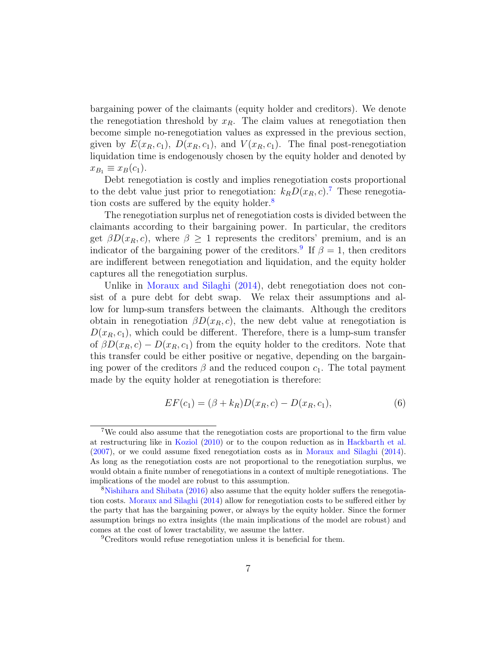bargaining power of the claimants (equity holder and creditors). We denote the renegotiation threshold by  $x_R$ . The claim values at renegotiation then become simple no-renegotiation values as expressed in the previous section, given by  $E(x_R, c_1)$ ,  $D(x_R, c_1)$ , and  $V(x_R, c_1)$ . The final post-renegotiation liquidation time is endogenously chosen by the equity holder and denoted by  $x_{B_1} \equiv x_B(c_1)$ .

Debt renegotiation is costly and implies renegotiation costs proportional to the debt value just prior to renegotiation:  $k_R D(x_R, c)$ .<sup>[7](#page-6-0)</sup> These renegotia-tion costs are suffered by the equity holder.<sup>[8](#page-6-1)</sup>

The renegotiation surplus net of renegotiation costs is divided between the claimants according to their bargaining power. In particular, the creditors get  $\beta D(x_R, c)$ , where  $\beta \geq 1$  represents the creditors' premium, and is an indicator of the bargaining power of the creditors.<sup>[9](#page-6-2)</sup> If  $\beta = 1$ , then creditors are indifferent between renegotiation and liquidation, and the equity holder captures all the renegotiation surplus.

Unlike in [Moraux and Silaghi](#page-38-3) [\(2014\)](#page-38-3), debt renegotiation does not consist of a pure debt for debt swap. We relax their assumptions and allow for lump-sum transfers between the claimants. Although the creditors obtain in renegotiation  $\beta D(x_R, c)$ , the new debt value at renegotiation is  $D(x_R, c_1)$ , which could be different. Therefore, there is a lump-sum transfer of  $\beta D(x_R, c) - D(x_R, c_1)$  from the equity holder to the creditors. Note that this transfer could be either positive or negative, depending on the bargaining power of the creditors  $\beta$  and the reduced coupon  $c_1$ . The total payment made by the equity holder at renegotiation is therefore:

$$
EF(c_1) = (\beta + k_R)D(x_R, c) - D(x_R, c_1),
$$
\n(6)

<span id="page-6-0"></span><sup>7</sup>We could also assume that the renegotiation costs are proportional to the firm value at restructuring like in [Koziol](#page-38-10) [\(2010\)](#page-38-10) or to the coupon reduction as in [Hackbarth et al.](#page-38-11) [\(2007\)](#page-38-11), or we could assume fixed renegotiation costs as in [Moraux and Silaghi](#page-38-3) [\(2014\)](#page-38-3). As long as the renegotiation costs are not proportional to the renegotiation surplus, we would obtain a finite number of renegotiations in a context of multiple renegotiations. The implications of the model are robust to this assumption.

<span id="page-6-1"></span><sup>&</sup>lt;sup>8</sup>[Nishihara and Shibata](#page-38-7) [\(2016\)](#page-38-7) also assume that the equity holder suffers the renegotiation costs. [Moraux and Silaghi](#page-38-3) [\(2014\)](#page-38-3) allow for renegotiation costs to be suffered either by the party that has the bargaining power, or always by the equity holder. Since the former assumption brings no extra insights (the main implications of the model are robust) and comes at the cost of lower tractability, we assume the latter.

<span id="page-6-2"></span><sup>&</sup>lt;sup>9</sup>Creditors would refuse renegotiation unless it is beneficial for them.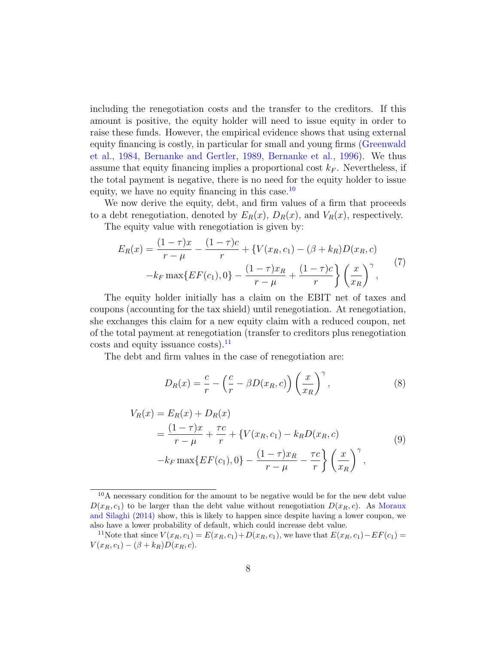including the renegotiation costs and the transfer to the creditors. If this amount is positive, the equity holder will need to issue equity in order to raise these funds. However, the empirical evidence shows that using external equity financing is costly, in particular for small and young firms [\(Greenwald](#page-38-12) [et al.,](#page-38-12) [1984,](#page-38-12) [Bernanke and Gertler,](#page-37-9) [1989,](#page-37-9) [Bernanke et al.,](#page-37-10) [1996\)](#page-37-10). We thus assume that equity financing implies a proportional cost  $k_F$ . Nevertheless, if the total payment is negative, there is no need for the equity holder to issue equity, we have no equity financing in this case. $^{10}$  $^{10}$  $^{10}$ 

We now derive the equity, debt, and firm values of a firm that proceeds to a debt renegotiation, denoted by  $E_R(x)$ ,  $D_R(x)$ , and  $V_R(x)$ , respectively.

The equity value with renegotiation is given by:

<span id="page-7-2"></span>
$$
E_R(x) = \frac{(1-\tau)x}{r-\mu} - \frac{(1-\tau)c}{r} + \{V(x_R, c_1) - (\beta + k_R)D(x_R, c) -k_F \max\{EF(c_1), 0\} - \frac{(1-\tau)x_R}{r-\mu} + \frac{(1-\tau)c}{r} \left\{ \left(\frac{x}{x_R}\right)^{\gamma}, \right\}^{(7)}
$$

The equity holder initially has a claim on the EBIT net of taxes and coupons (accounting for the tax shield) until renegotiation. At renegotiation, she exchanges this claim for a new equity claim with a reduced coupon, net of the total payment at renegotiation (transfer to creditors plus renegotiation  $\text{costs}$  and equity issuance costs).<sup>[11](#page-7-1)</sup>

The debt and firm values in the case of renegotiation are:

$$
D_R(x) = \frac{c}{r} - \left(\frac{c}{r} - \beta D(x_R, c)\right) \left(\frac{x}{x_R}\right)^{\gamma},\tag{8}
$$

<span id="page-7-3"></span>
$$
V_R(x) = E_R(x) + D_R(x)
$$
  
=  $\frac{(1 - \tau)x}{r - \mu} + \frac{\tau c}{r} + \{V(x_R, c_1) - k_R D(x_R, c)$   
 $-k_F \max\{EF(c_1), 0\} - \frac{(1 - \tau)x_R}{r - \mu} - \frac{\tau c}{r}\} \left(\frac{x}{x_R}\right)^{\gamma},$  (9)

<span id="page-7-0"></span><sup>10</sup>A necessary condition for the amount to be negative would be for the new debt value  $D(x_R, c_1)$  to be larger than the debt value without renegotiation  $D(x_R, c)$ . As [Moraux](#page-38-3) [and Silaghi](#page-38-3) [\(2014\)](#page-38-3) show, this is likely to happen since despite having a lower coupon, we also have a lower probability of default, which could increase debt value.

<span id="page-7-1"></span><sup>&</sup>lt;sup>11</sup>Note that since  $V(x_R, c_1) = E(x_R, c_1) + D(x_R, c_1)$ , we have that  $E(x_R, c_1) - EF(c_1) =$  $V(x_R, c_1) - (\beta + k_R)D(x_R, c).$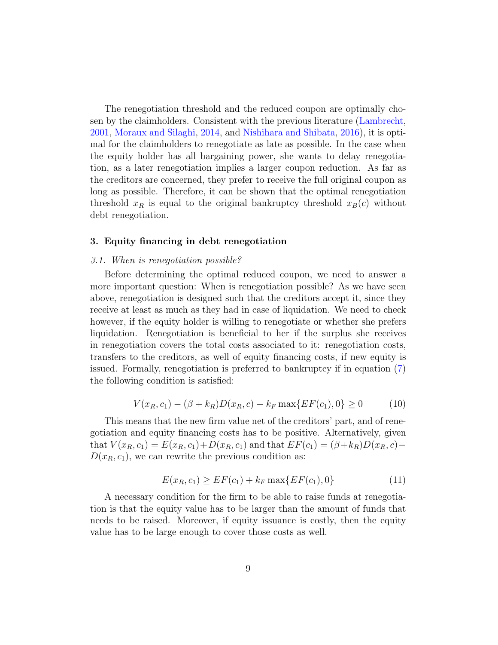The renegotiation threshold and the reduced coupon are optimally chosen by the claimholders. Consistent with the previous literature [\(Lambrecht,](#page-38-2) [2001,](#page-38-2) [Moraux and Silaghi,](#page-38-3) [2014,](#page-38-3) and [Nishihara and Shibata,](#page-38-7) [2016\)](#page-38-7), it is optimal for the claimholders to renegotiate as late as possible. In the case when the equity holder has all bargaining power, she wants to delay renegotiation, as a later renegotiation implies a larger coupon reduction. As far as the creditors are concerned, they prefer to receive the full original coupon as long as possible. Therefore, it can be shown that the optimal renegotiation threshold  $x_R$  is equal to the original bankruptcy threshold  $x_B(c)$  without debt renegotiation.

### <span id="page-8-0"></span>3. Equity financing in debt renegotiation

### 3.1. When is renegotiation possible?

Before determining the optimal reduced coupon, we need to answer a more important question: When is renegotiation possible? As we have seen above, renegotiation is designed such that the creditors accept it, since they receive at least as much as they had in case of liquidation. We need to check however, if the equity holder is willing to renegotiate or whether she prefers liquidation. Renegotiation is beneficial to her if the surplus she receives in renegotiation covers the total costs associated to it: renegotiation costs, transfers to the creditors, as well of equity financing costs, if new equity is issued. Formally, renegotiation is preferred to bankruptcy if in equation [\(7\)](#page-7-2) the following condition is satisfied:

<span id="page-8-2"></span>
$$
V(x_R, c_1) - (\beta + k_R)D(x_R, c) - k_F \max\{EF(c_1), 0\} \ge 0
$$
 (10)

This means that the new firm value net of the creditors' part, and of renegotiation and equity financing costs has to be positive. Alternatively, given that  $V(x_R, c_1) = E(x_R, c_1) + D(x_R, c_1)$  and that  $EF(c_1) = (\beta + k_R)D(x_R, c)$  $D(x_R, c_1)$ , we can rewrite the previous condition as:

<span id="page-8-1"></span>
$$
E(x_R, c_1) \ge EF(c_1) + k_F \max\{EF(c_1), 0\}
$$
\n(11)

A necessary condition for the firm to be able to raise funds at renegotiation is that the equity value has to be larger than the amount of funds that needs to be raised. Moreover, if equity issuance is costly, then the equity value has to be large enough to cover those costs as well.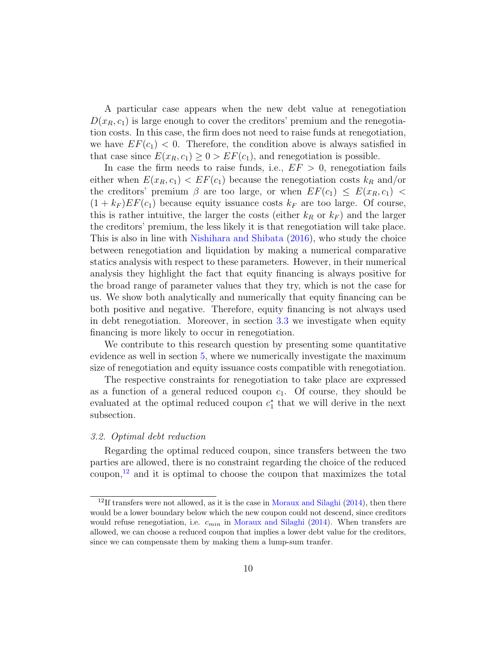A particular case appears when the new debt value at renegotiation  $D(x_R, c_1)$  is large enough to cover the creditors' premium and the renegotiation costs. In this case, the firm does not need to raise funds at renegotiation, we have  $EF(c_1) < 0$ . Therefore, the condition above is always satisfied in that case since  $E(x_R, c_1) \geq 0$  >  $EF(c_1)$ , and renegotiation is possible.

In case the firm needs to raise funds, i.e.,  $EF > 0$ , renegotiation fails either when  $E(x_R, c_1) < EF(c_1)$  because the renegotiation costs  $k_R$  and/or the creditors' premium  $\beta$  are too large, or when  $EF(c_1) \leq E(x_R, c_1)$  $(1 + k_F) EF(c_1)$  because equity issuance costs  $k_F$  are too large. Of course, this is rather intuitive, the larger the costs (either  $k_R$  or  $k_F$ ) and the larger the creditors' premium, the less likely it is that renegotiation will take place. This is also in line with [Nishihara and Shibata](#page-38-7) [\(2016\)](#page-38-7), who study the choice between renegotiation and liquidation by making a numerical comparative statics analysis with respect to these parameters. However, in their numerical analysis they highlight the fact that equity financing is always positive for the broad range of parameter values that they try, which is not the case for us. We show both analytically and numerically that equity financing can be both positive and negative. Therefore, equity financing is not always used in debt renegotiation. Moreover, in section [3.3](#page-14-0) we investigate when equity financing is more likely to occur in renegotiation.

We contribute to this research question by presenting some quantitative evidence as well in section [5,](#page-20-0) where we numerically investigate the maximum size of renegotiation and equity issuance costs compatible with renegotiation.

The respective constraints for renegotiation to take place are expressed as a function of a general reduced coupon  $c_1$ . Of course, they should be evaluated at the optimal reduced coupon  $c_1^*$  that we will derive in the next subsection.

#### 3.2. Optimal debt reduction

Regarding the optimal reduced coupon, since transfers between the two parties are allowed, there is no constraint regarding the choice of the reduced coupon, $^{12}$  $^{12}$  $^{12}$  and it is optimal to choose the coupon that maximizes the total

<span id="page-9-0"></span> $12$ If transfers were not allowed, as it is the case in [Moraux and Silaghi](#page-38-3) [\(2014\)](#page-38-3), then there would be a lower boundary below which the new coupon could not descend, since creditors would refuse renegotiation, i.e.  $c_{min}$  in [Moraux and Silaghi](#page-38-3) [\(2014\)](#page-38-3). When transfers are allowed, we can choose a reduced coupon that implies a lower debt value for the creditors, since we can compensate them by making them a lump-sum tranfer.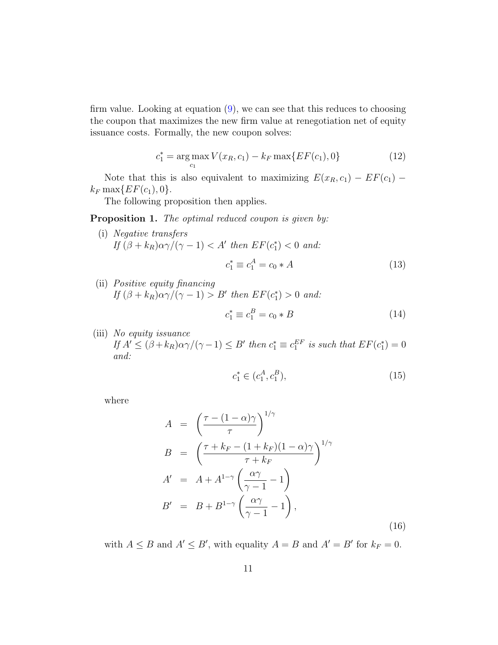firm value. Looking at equation [\(9\)](#page-7-3), we can see that this reduces to choosing the coupon that maximizes the new firm value at renegotiation net of equity issuance costs. Formally, the new coupon solves:

$$
c_1^* = \underset{c_1}{\arg \max} V(x_R, c_1) - k_F \max\{ EF(c_1), 0\} \tag{12}
$$

Note that this is also equivalent to maximizing  $E(x_R, c_1) - EF(c_1)$  $k_F \max\{ EF(c_1), 0 \}.$ 

The following proposition then applies.

#### **Proposition 1.** The optimal reduced coupon is given by:

(i) Negative transfers If  $(\beta + k_R)\alpha\gamma/(\gamma - 1) < A'$  then  $EF(c_1^*) < 0$  and:

$$
c_1^* \equiv c_1^A = c_0 * A \tag{13}
$$

(ii) Positive equity financing If  $(\beta + k_R)\alpha\gamma/(\gamma - 1) > B'$  then  $EF(c_1^*) > 0$  and:

$$
c_1^* \equiv c_1^B = c_0 * B \tag{14}
$$

(iii) No equity issuance If  $A' \leq (\beta + k_R)\alpha \gamma/(\gamma - 1) \leq B'$  then  $c_1^* \equiv c_1^{EF}$  is such that  $EF(c_1^*) = 0$ and:

$$
c_1^* \in (c_1^A, c_1^B), \tag{15}
$$

<span id="page-10-0"></span>where

<span id="page-10-1"></span>
$$
A = \left(\frac{\tau - (1 - \alpha)\gamma}{\tau}\right)^{1/\gamma}
$$
  
\n
$$
B = \left(\frac{\tau + k_F - (1 + k_F)(1 - \alpha)\gamma}{\tau + k_F}\right)^{1/\gamma}
$$
  
\n
$$
A' = A + A^{1-\gamma} \left(\frac{\alpha\gamma}{\gamma - 1} - 1\right)
$$
  
\n
$$
B' = B + B^{1-\gamma} \left(\frac{\alpha\gamma}{\gamma - 1} - 1\right),
$$
\n(16)

with  $A \leq B$  and  $A' \leq B'$ , with equality  $A = B$  and  $A' = B'$  for  $k_F = 0$ .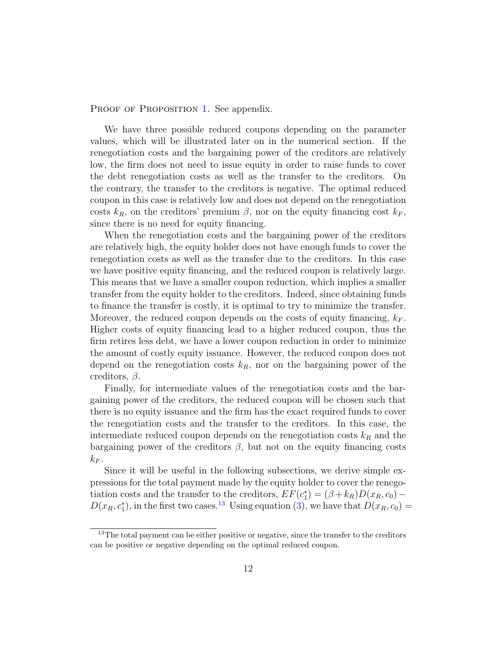PROOF OF PROPOSITION [1.](#page-10-0) See appendix.

We have three possible reduced coupons depending on the parameter values, which will be illustrated later on in the numerical section. If the renegotiation costs and the bargaining power of the creditors are relatively low, the firm does not need to issue equity in order to raise funds to cover the debt renegotiation costs as well as the transfer to the creditors. On the contrary, the transfer to the creditors is negative. The optimal reduced coupon in this case is relatively low and does not depend on the renegotiation costs  $k_R$ , on the creditors' premium  $\beta$ , nor on the equity financing cost  $k_F$ , since there is no need for equity financing.

When the renegotiation costs and the bargaining power of the creditors are relatively high, the equity holder does not have enough funds to cover the renegotiation costs as well as the transfer due to the creditors. In this case we have positive equity financing, and the reduced coupon is relatively large. This means that we have a smaller coupon reduction, which implies a smaller transfer from the equity holder to the creditors. Indeed, since obtaining funds to finance the transfer is costly, it is optimal to try to minimize the transfer. Moreover, the reduced coupon depends on the costs of equity financing,  $k_F$ . Higher costs of equity financing lead to a higher reduced coupon, thus the firm retires less debt, we have a lower coupon reduction in order to minimize the amount of costly equity issuance. However, the reduced coupon does not depend on the renegotiation costs  $k_R$ , nor on the bargaining power of the creditors,  $\beta$ .

Finally, for intermediate values of the renegotiation costs and the bargaining power of the creditors, the reduced coupon will be chosen such that there is no equity issuance and the firm has the exact required funds to cover the renegotiation costs and the transfer to the creditors. In this case, the intermediate reduced coupon depends on the renegotiation costs  $k_R$  and the bargaining power of the creditors  $\beta$ , but not on the equity financing costs  $k_F$ .

Since it will be useful in the following subsections, we derive simple expressions for the total payment made by the equity holder to cover the renegotiation costs and the transfer to the creditors,  $EF(c_1^*) = (\beta + k_R)D(x_R, c_0) D(x_R, c_1^*)$ , in the first two cases.<sup>[13](#page-11-0)</sup> Using equation [\(3\)](#page-5-1), we have that  $D(x_R, c_0) =$ 

<span id="page-11-0"></span> $13$ The total payment can be either positive or negative, since the transfer to the creditors can be positive or negative depending on the optimal reduced coupon.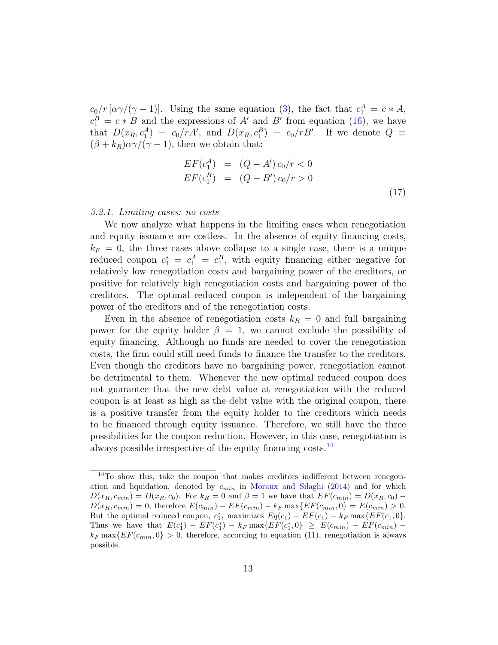$c_0/r \left[ \frac{\alpha \gamma}{\gamma - 1} \right]$ . Using the same equation [\(3\)](#page-5-1), the fact that  $c_1^A = c \cdot A$ ,  $c_1^B = c * B$  and the expressions of A' and B' from equation [\(16\)](#page-10-1), we have that  $D(x_R, c_1^A) = c_0/rA'$ , and  $D(x_R, c_1^B) = c_0/rB'$ . If we denote  $Q \equiv$  $(\beta + k_R)\alpha\gamma/(\gamma - 1)$ , then we obtain that:

<span id="page-12-1"></span>
$$
EF(c_1^A) = (Q - A') c_0/r < 0
$$
  
\n
$$
EF(c_1^B) = (Q - B') c_0/r > 0
$$
\n(17)

#### 3.2.1. Limiting cases: no costs

We now analyze what happens in the limiting cases when renegotiation and equity issuance are costless. In the absence of equity financing costs,  $k_F = 0$ , the three cases above collapse to a single case, there is a unique reduced coupon  $c_1^* = c_1^A = c_1^B$ , with equity financing either negative for relatively low renegotiation costs and bargaining power of the creditors, or positive for relatively high renegotiation costs and bargaining power of the creditors. The optimal reduced coupon is independent of the bargaining power of the creditors and of the renegotiation costs.

Even in the absence of renegotiation costs  $k_R = 0$  and full bargaining power for the equity holder  $\beta = 1$ , we cannot exclude the possibility of equity financing. Although no funds are needed to cover the renegotiation costs, the firm could still need funds to finance the transfer to the creditors. Even though the creditors have no bargaining power, renegotiation cannot be detrimental to them. Whenever the new optimal reduced coupon does not guarantee that the new debt value at renegotiation with the reduced coupon is at least as high as the debt value with the original coupon, there is a positive transfer from the equity holder to the creditors which needs to be financed through equity issuance. Therefore, we still have the three possibilities for the coupon reduction. However, in this case, renegotiation is always possible irrespective of the equity financing costs.[14](#page-12-0)

<span id="page-12-0"></span><sup>14</sup>To show this, take the coupon that makes creditors indifferent between renegotiation and liquidation, denoted by  $c_{min}$  in [Moraux and Silaghi](#page-38-3) [\(2014\)](#page-38-3) and for which  $D(x_R, c_{min}) = D(x_R, c_0)$ . For  $k_R = 0$  and  $\beta = 1$  we have that  $EF(c_{min}) = D(x_R, c_0)$  $D(x_R, c_{min}) = 0$ , therefore  $E(c_{min}) - EF(c_{min}) - k_F \max\{EF(c_{min}, 0\} = E(c_{min}) > 0$ . But the optimal reduced coupon,  $c_1^*$ , maximizes  $Eq(c_1) - EF(c_1) - k_F \max\{EF(c_1, 0\})$ . Thus we have that  $E(c_1^*) - EF(c_1^*) - k_F \max\{ EF(c_1^*, 0\} \geq E(c_{min}) - EF(c_{min}) - E(c_{min})$  $k_F \max\{ EF(c_{min}, 0] > 0$ , therefore, according to equation [\(11\)](#page-8-1), renegotiation is always possible.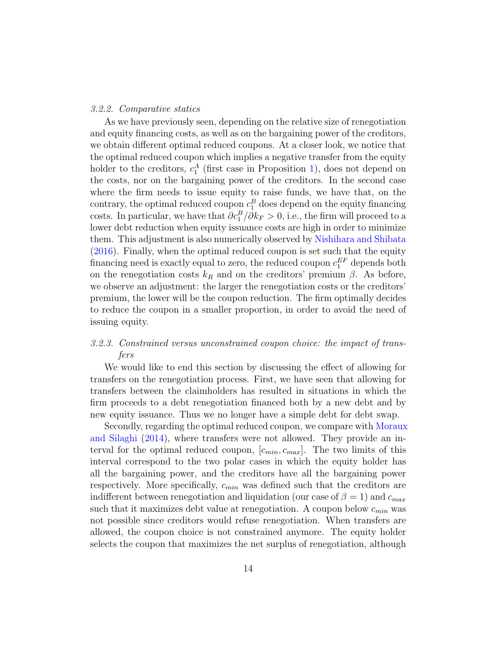#### 3.2.2. Comparative statics

As we have previously seen, depending on the relative size of renegotiation and equity financing costs, as well as on the bargaining power of the creditors, we obtain different optimal reduced coupons. At a closer look, we notice that the optimal reduced coupon which implies a negative transfer from the equity holder to the creditors,  $c_1^A$  (first case in Proposition [1\)](#page-10-0), does not depend on the costs, nor on the bargaining power of the creditors. In the second case where the firm needs to issue equity to raise funds, we have that, on the contrary, the optimal reduced coupon  $c_1^B$  does depend on the equity financing costs. In particular, we have that  $\partial c_1^B / \partial k_F > 0$ , i.e., the firm will proceed to a lower debt reduction when equity issuance costs are high in order to minimize them. This adjustment is also numerically observed by [Nishihara and Shibata](#page-38-7) [\(2016\)](#page-38-7). Finally, when the optimal reduced coupon is set such that the equity financing need is exactly equal to zero, the reduced coupon  $c_1^{EF}$  depends both on the renegotiation costs  $k_R$  and on the creditors' premium  $\beta$ . As before, we observe an adjustment: the larger the renegotiation costs or the creditors' premium, the lower will be the coupon reduction. The firm optimally decides to reduce the coupon in a smaller proportion, in order to avoid the need of issuing equity.

# 3.2.3. Constrained versus unconstrained coupon choice: the impact of transfers

We would like to end this section by discussing the effect of allowing for transfers on the renegotiation process. First, we have seen that allowing for transfers between the claimholders has resulted in situations in which the firm proceeds to a debt renegotiation financed both by a new debt and by new equity issuance. Thus we no longer have a simple debt for debt swap.

Secondly, regarding the optimal reduced coupon, we compare with [Moraux](#page-38-3) [and Silaghi](#page-38-3) [\(2014\)](#page-38-3), where transfers were not allowed. They provide an interval for the optimal reduced coupon,  $[c_{min}, c_{max}]$ . The two limits of this interval correspond to the two polar cases in which the equity holder has all the bargaining power, and the creditors have all the bargaining power respectively. More specifically,  $c_{min}$  was defined such that the creditors are indifferent between renegotiation and liquidation (our case of  $\beta = 1$ ) and  $c_{max}$ such that it maximizes debt value at renegotiation. A coupon below  $c_{min}$  was not possible since creditors would refuse renegotiation. When transfers are allowed, the coupon choice is not constrained anymore. The equity holder selects the coupon that maximizes the net surplus of renegotiation, although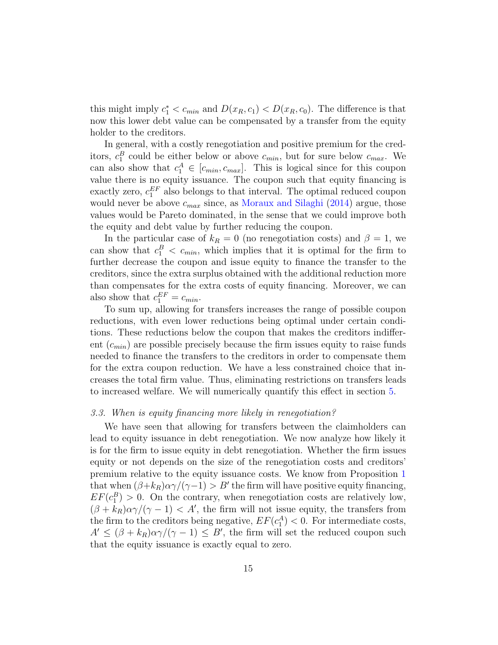this might imply  $c_1^* < c_{min}$  and  $D(x_R, c_1) < D(x_R, c_0)$ . The difference is that now this lower debt value can be compensated by a transfer from the equity holder to the creditors.

In general, with a costly renegotiation and positive premium for the creditors,  $c_1^B$  could be either below or above  $c_{min}$ , but for sure below  $c_{max}$ . We can also show that  $c_1^A \in [c_{min}, c_{max}]$ . This is logical since for this coupon value there is no equity issuance. The coupon such that equity financing is exactly zero,  $c_1^{EF}$  also belongs to that interval. The optimal reduced coupon would never be above  $c_{max}$  since, as [Moraux and Silaghi](#page-38-3) [\(2014\)](#page-38-3) argue, those values would be Pareto dominated, in the sense that we could improve both the equity and debt value by further reducing the coupon.

In the particular case of  $k_R = 0$  (no renegotiation costs) and  $\beta = 1$ , we can show that  $c_1^B < c_{min}$ , which implies that it is optimal for the firm to further decrease the coupon and issue equity to finance the transfer to the creditors, since the extra surplus obtained with the additional reduction more than compensates for the extra costs of equity financing. Moreover, we can also show that  $c_1^{EF} = c_{min}$ .

To sum up, allowing for transfers increases the range of possible coupon reductions, with even lower reductions being optimal under certain conditions. These reductions below the coupon that makes the creditors indifferent  $(c_{min})$  are possible precisely because the firm issues equity to raise funds needed to finance the transfers to the creditors in order to compensate them for the extra coupon reduction. We have a less constrained choice that increases the total firm value. Thus, eliminating restrictions on transfers leads to increased welfare. We will numerically quantify this effect in section [5.](#page-20-0)

#### <span id="page-14-0"></span>3.3. When is equity financing more likely in renegotiation?

We have seen that allowing for transfers between the claimholders can lead to equity issuance in debt renegotiation. We now analyze how likely it is for the firm to issue equity in debt renegotiation. Whether the firm issues equity or not depends on the size of the renegotiation costs and creditors' premium relative to the equity issuance costs. We know from Proposition [1](#page-10-0) that when  $(\beta + k_R)\alpha\gamma/(\gamma - 1) > B'$  the firm will have positive equity financing,  $EF(c_1^B) > 0$ . On the contrary, when renegotiation costs are relatively low,  $(\beta + k_R)\alpha\gamma/(\gamma - 1) < A'$ , the firm will not issue equity, the transfers from the firm to the creditors being negative,  $EF(c_1^A) < 0$ . For intermediate costs,  $A' \leq (\beta + k_R)\alpha \gamma/(\gamma - 1) \leq B'$ , the firm will set the reduced coupon such that the equity issuance is exactly equal to zero.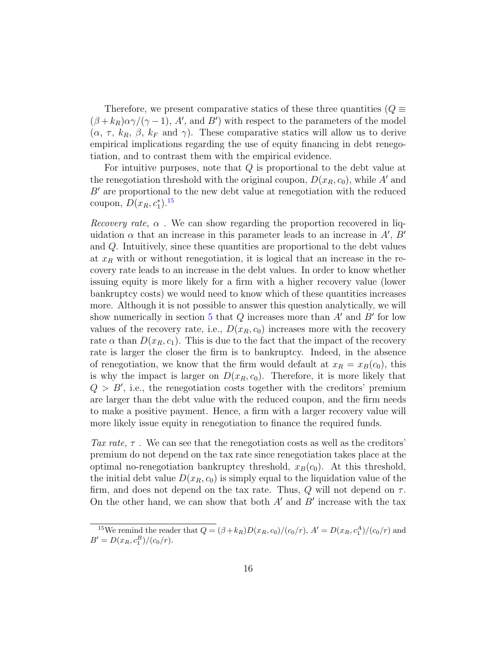Therefore, we present comparative statics of these three quantities ( $Q \equiv$  $(\beta + k_R)\alpha\gamma/(\gamma - 1)$ , A', and B') with respect to the parameters of the model  $(\alpha, \tau, k_R, \beta, k_F \text{ and } \gamma)$ . These comparative statics will allow us to derive empirical implications regarding the use of equity financing in debt renegotiation, and to contrast them with the empirical evidence.

For intuitive purposes, note that  $Q$  is proportional to the debt value at the renegotiation threshold with the original coupon,  $D(x_R, c_0)$ , while A' and  $B'$  are proportional to the new debt value at renegotiation with the reduced coupon,  $D(x_R, c_1^*)$ .<sup>[15](#page-15-0)</sup>

*Recovery rate,*  $\alpha$ . We can show regarding the proportion recovered in liquidation  $\alpha$  that an increase in this parameter leads to an increase in A', B' and Q. Intuitively, since these quantities are proportional to the debt values at  $x_R$  with or without renegotiation, it is logical that an increase in the recovery rate leads to an increase in the debt values. In order to know whether issuing equity is more likely for a firm with a higher recovery value (lower bankruptcy costs) we would need to know which of these quantities increases more. Although it is not possible to answer this question analytically, we will show numerically in section [5](#page-20-0) that  $Q$  increases more than  $A'$  and  $B'$  for low values of the recovery rate, i.e.,  $D(x_R, c_0)$  increases more with the recovery rate  $\alpha$  than  $D(x_R, c_1)$ . This is due to the fact that the impact of the recovery rate is larger the closer the firm is to bankruptcy. Indeed, in the absence of renegotiation, we know that the firm would default at  $x_R = x_B(c_0)$ , this is why the impact is larger on  $D(x_R, c_0)$ . Therefore, it is more likely that  $Q > B'$ , i.e., the renegotiation costs together with the creditors' premium are larger than the debt value with the reduced coupon, and the firm needs to make a positive payment. Hence, a firm with a larger recovery value will more likely issue equity in renegotiation to finance the required funds.

Tax rate,  $\tau$ . We can see that the renegotiation costs as well as the creditors' premium do not depend on the tax rate since renegotiation takes place at the optimal no-renegotiation bankruptcy threshold,  $x_B(c_0)$ . At this threshold, the initial debt value  $D(x_R, c_0)$  is simply equal to the liquidation value of the firm, and does not depend on the tax rate. Thus,  $Q$  will not depend on  $\tau$ . On the other hand, we can show that both  $A'$  and  $B'$  increase with the tax

<span id="page-15-0"></span><sup>&</sup>lt;sup>15</sup>We remind the reader that  $Q = (\beta + k_R)D(x_R, c_0)/(c_0/r)$ ,  $A' = D(x_R, c_1^A)/(c_0/r)$  and  $B' = D(x_R, c_1^B)/(c_0/r).$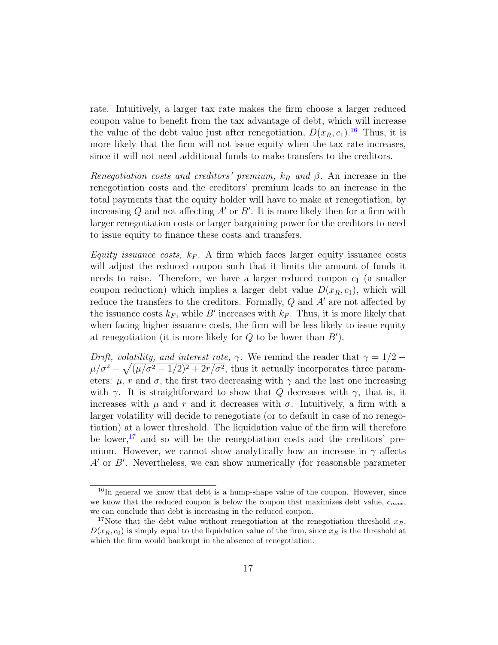rate. Intuitively, a larger tax rate makes the firm choose a larger reduced coupon value to benefit from the tax advantage of debt, which will increase the value of the debt value just after renegotiation,  $D(x_R, c_1)$ .<sup>[16](#page-16-0)</sup> Thus, it is more likely that the firm will not issue equity when the tax rate increases, since it will not need additional funds to make transfers to the creditors.

Renegotiation costs and creditors' premium,  $k_R$  and  $\beta$ . An increase in the renegotiation costs and the creditors' premium leads to an increase in the total payments that the equity holder will have to make at renegotiation, by increasing  $Q$  and not affecting  $A'$  or  $B'$ . It is more likely then for a firm with larger renegotiation costs or larger bargaining power for the creditors to need to issue equity to finance these costs and transfers.

Equity issuance costs,  $k_F$ . A firm which faces larger equity issuance costs will adjust the reduced coupon such that it limits the amount of funds it needs to raise. Therefore, we have a larger reduced coupon  $c_1$  (a smaller coupon reduction) which implies a larger debt value  $D(x_R, c_1)$ , which will reduce the transfers to the creditors. Formally,  $Q$  and  $A'$  are not affected by the issuance costs  $k_F$ , while B' increases with  $k_F$ . Thus, it is more likely that when facing higher issuance costs, the firm will be less likely to issue equity at renegotiation (it is more likely for  $Q$  to be lower than  $B'$ ).

Drift, volatility, and interest rate,  $\gamma$ . We remind the reader that  $\gamma = 1/2$  –  $\mu/\sigma^2 - \sqrt{(\mu/\sigma^2 - 1/2)^2 + 2r/\sigma^2}$ , thus it actually incorporates three parameters:  $\mu$ , r and  $\sigma$ , the first two decreasing with  $\gamma$  and the last one increasing with  $\gamma$ . It is straightforward to show that Q decreases with  $\gamma$ , that is, it increases with  $\mu$  and  $r$  and it decreases with  $\sigma$ . Intuitively, a firm with a larger volatility will decide to renegotiate (or to default in case of no renegotiation) at a lower threshold. The liquidation value of the firm will therefore be lower,<sup>[17](#page-16-1)</sup> and so will be the renegotiation costs and the creditors' premium. However, we cannot show analytically how an increase in  $\gamma$  affects  $A'$  or  $B'$ . Nevertheless, we can show numerically (for reasonable parameter

<span id="page-16-0"></span><sup>&</sup>lt;sup>16</sup>In general we know that debt is a hump-shape value of the coupon. However, since we know that the reduced coupon is below the coupon that maximizes debt value,  $c_{max}$ , we can conclude that debt is increasing in the reduced coupon.

<span id="page-16-1"></span><sup>&</sup>lt;sup>17</sup>Note that the debt value without renegotiation at the renegotiation threshold  $x_R$ ,  $D(x_R, c_0)$  is simply equal to the liquidation value of the firm, since  $x_R$  is the threshold at which the firm would bankrupt in the absence of renegotiation.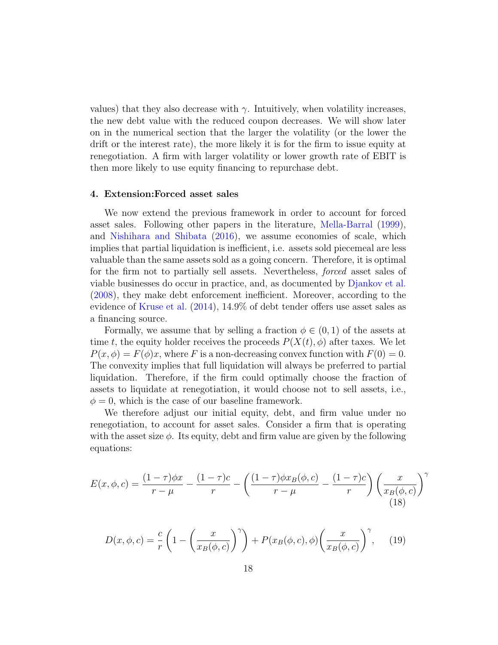values) that they also decrease with  $\gamma$ . Intuitively, when volatility increases, the new debt value with the reduced coupon decreases. We will show later on in the numerical section that the larger the volatility (or the lower the drift or the interest rate), the more likely it is for the firm to issue equity at renegotiation. A firm with larger volatility or lower growth rate of EBIT is then more likely to use equity financing to repurchase debt.

#### <span id="page-17-0"></span>4. Extension:Forced asset sales

We now extend the previous framework in order to account for forced asset sales. Following other papers in the literature, [Mella-Barral](#page-38-1) [\(1999\)](#page-38-1), and [Nishihara and Shibata](#page-38-7) [\(2016\)](#page-38-7), we assume economies of scale, which implies that partial liquidation is inefficient, i.e. assets sold piecemeal are less valuable than the same assets sold as a going concern. Therefore, it is optimal for the firm not to partially sell assets. Nevertheless, forced asset sales of viable businesses do occur in practice, and, as documented by [Djankov et al.](#page-37-5) [\(2008\)](#page-37-5), they make debt enforcement inefficient. Moreover, according to the evidence of [Kruse et al.](#page-38-4) [\(2014\)](#page-38-4), 14.9% of debt tender offers use asset sales as a financing source.

Formally, we assume that by selling a fraction  $\phi \in (0,1)$  of the assets at time t, the equity holder receives the proceeds  $P(X(t), \phi)$  after taxes. We let  $P(x, \phi) = F(\phi)x$ , where F is a non-decreasing convex function with  $F(0) = 0$ . The convexity implies that full liquidation will always be preferred to partial liquidation. Therefore, if the firm could optimally choose the fraction of assets to liquidate at renegotiation, it would choose not to sell assets, i.e.,  $\phi = 0$ , which is the case of our baseline framework.

We therefore adjust our initial equity, debt, and firm value under no renegotiation, to account for asset sales. Consider a firm that is operating with the asset size  $\phi$ . Its equity, debt and firm value are given by the following equations:

$$
E(x, \phi, c) = \frac{(1-\tau)\phi x}{r-\mu} - \frac{(1-\tau)c}{r} - \left(\frac{(1-\tau)\phi x_B(\phi, c)}{r-\mu} - \frac{(1-\tau)c}{r}\right) \left(\frac{x}{x_B(\phi, c)}\right)^{\gamma}
$$
(18)

$$
D(x,\phi,c) = \frac{c}{r} \left( 1 - \left( \frac{x}{x_B(\phi,c)} \right)^{\gamma} \right) + P(x_B(\phi,c),\phi) \left( \frac{x}{x_B(\phi,c)} \right)^{\gamma}, \quad (19)
$$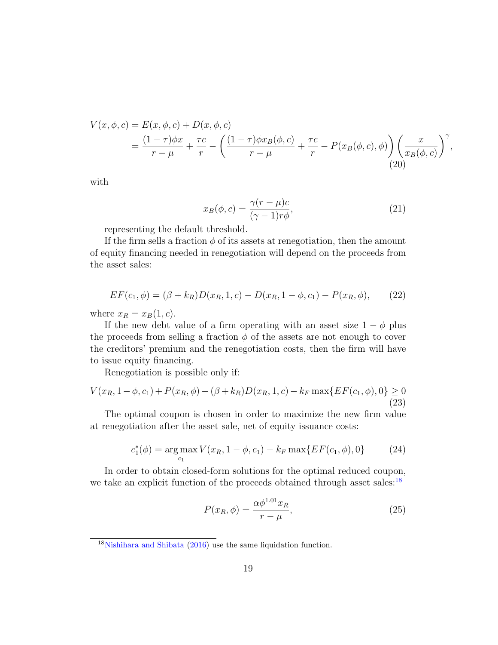$$
V(x, \phi, c) = E(x, \phi, c) + D(x, \phi, c)
$$
  
=  $\frac{(1 - \tau)\phi x}{r - \mu} + \frac{\tau c}{r} - \left(\frac{(1 - \tau)\phi x_B(\phi, c)}{r - \mu} + \frac{\tau c}{r} - P(x_B(\phi, c), \phi)\right) \left(\frac{x}{x_B(\phi, c)}\right)^{\gamma}$ , (20)

with

$$
x_B(\phi, c) = \frac{\gamma(r - \mu)c}{(\gamma - 1)r\phi},\tag{21}
$$

representing the default threshold.

If the firm sells a fraction  $\phi$  of its assets at renegotiation, then the amount of equity financing needed in renegotiation will depend on the proceeds from the asset sales:

<span id="page-18-1"></span>
$$
EF(c_1, \phi) = (\beta + k_R)D(x_R, 1, c) - D(x_R, 1 - \phi, c_1) - P(x_R, \phi), \quad (22)
$$

where  $x_R = x_B(1, c)$ .

If the new debt value of a firm operating with an asset size  $1 - \phi$  plus the proceeds from selling a fraction  $\phi$  of the assets are not enough to cover the creditors' premium and the renegotiation costs, then the firm will have to issue equity financing.

Renegotiation is possible only if:

$$
V(x_R, 1 - \phi, c_1) + P(x_R, \phi) - (\beta + k_R)D(x_R, 1, c) - k_F \max\{ EF(c_1, \phi), 0 \} \ge 0
$$
\n(23)

The optimal coupon is chosen in order to maximize the new firm value at renegotiation after the asset sale, net of equity issuance costs:

$$
c_1^*(\phi) = \underset{c_1}{\arg \max} V(x_R, 1 - \phi, c_1) - k_F \max\{ EF(c_1, \phi), 0 \}
$$
 (24)

In order to obtain closed-form solutions for the optimal reduced coupon, we take an explicit function of the proceeds obtained through asset sales:<sup>[18](#page-18-0)</sup>

$$
P(x_R, \phi) = \frac{\alpha \phi^{1.01} x_R}{r - \mu},
$$
\n(25)

<span id="page-18-0"></span><sup>18</sup>[Nishihara and Shibata](#page-38-7) [\(2016\)](#page-38-7) use the same liquidation function.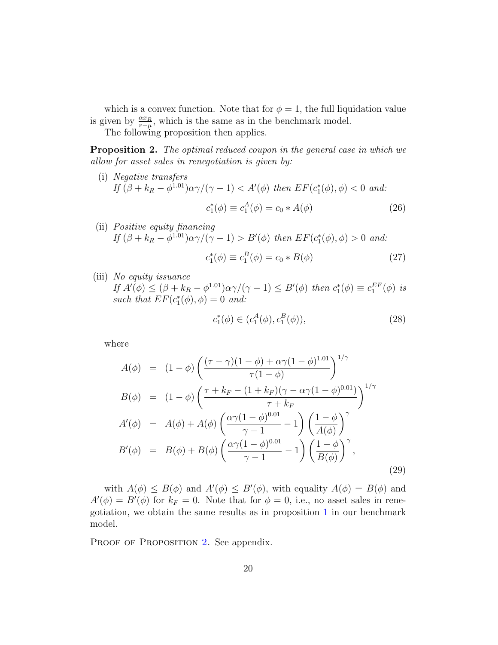which is a convex function. Note that for  $\phi = 1$ , the full liquidation value is given by  $\frac{\alpha x_R}{r-\mu}$ , which is the same as in the benchmark model.

The following proposition then applies.

**Proposition 2.** The optimal reduced coupon in the general case in which we allow for asset sales in renegotiation is given by:

- (i) Negative transfers If  $(\beta + k_R - \phi^{1.01})\alpha\gamma/(\gamma - 1) < A'(\phi)$  then  $EF(c_1^*(\phi), \phi) < 0$  and:  $c_1^*(\phi) \equiv c_1^A(\phi) = c_0 * A(\phi)$  (26)
- (ii) Positive equity financing If  $(\beta + k_R - \phi^{1.01})\alpha\gamma/(\gamma - 1) > B'(\phi)$  then  $EF(c_1^*(\phi), \phi) > 0$  and:

$$
c_1^*(\phi) \equiv c_1^B(\phi) = c_0 * B(\phi)
$$
 (27)

(iii) No equity issuance If  $A'(\phi) \leq (\beta + k_R - \phi^{1.01})\alpha \gamma/(\gamma - 1) \leq B'(\phi)$  then  $c_1^*(\phi) \equiv c_1^{EF}(\phi)$  is such that  $EF(c_1^*(\phi), \phi) = 0$  and:

$$
c_1^*(\phi) \in (c_1^A(\phi), c_1^B(\phi)), \tag{28}
$$

<span id="page-19-0"></span>where

$$
A(\phi) = (1 - \phi) \left( \frac{(\tau - \gamma)(1 - \phi) + \alpha \gamma (1 - \phi)^{1.01}}{\tau (1 - \phi)} \right)^{1/\gamma}
$$
  
\n
$$
B(\phi) = (1 - \phi) \left( \frac{\tau + k_F - (1 + k_F)(\gamma - \alpha \gamma (1 - \phi)^{0.01})}{\tau + k_F} \right)^{1/\gamma}
$$
  
\n
$$
A'(\phi) = A(\phi) + A(\phi) \left( \frac{\alpha \gamma (1 - \phi)^{0.01}}{\gamma - 1} - 1 \right) \left( \frac{1 - \phi}{A(\phi)} \right)^{\gamma}
$$
  
\n
$$
B'(\phi) = B(\phi) + B(\phi) \left( \frac{\alpha \gamma (1 - \phi)^{0.01}}{\gamma - 1} - 1 \right) \left( \frac{1 - \phi}{B(\phi)} \right)^{\gamma},
$$
\n(29)

with  $A(\phi) \leq B(\phi)$  and  $A'(\phi) \leq B'(\phi)$ , with equality  $A(\phi) = B(\phi)$  and  $A'(\phi) = B'(\phi)$  for  $k_F = 0$ . Note that for  $\phi = 0$ , i.e., no asset sales in renegotiation, we obtain the same results as in proposition [1](#page-10-0) in our benchmark model.

PROOF OF PROPOSITION [2.](#page-19-0) See appendix.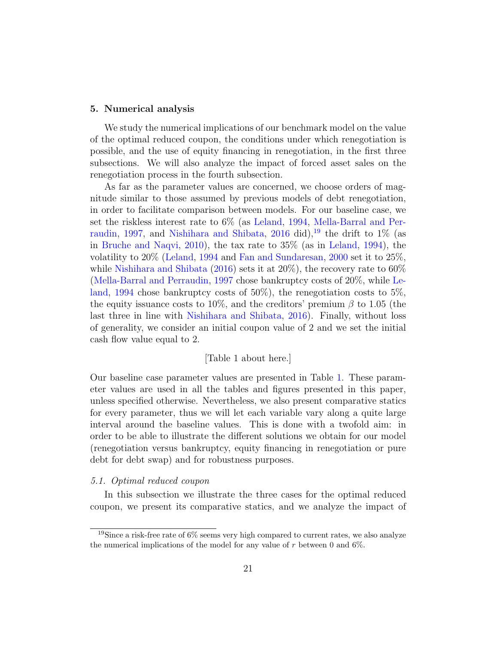#### <span id="page-20-0"></span>5. Numerical analysis

We study the numerical implications of our benchmark model on the value of the optimal reduced coupon, the conditions under which renegotiation is possible, and the use of equity financing in renegotiation, in the first three subsections. We will also analyze the impact of forced asset sales on the renegotiation process in the fourth subsection.

As far as the parameter values are concerned, we choose orders of magnitude similar to those assumed by previous models of debt renegotiation, in order to facilitate comparison between models. For our baseline case, we set the riskless interest rate to 6% (as [Leland,](#page-38-8) [1994,](#page-38-8) [Mella-Barral and Per](#page-38-0)[raudin,](#page-38-0) [1997,](#page-38-0) and [Nishihara and Shibata,](#page-38-7) [2016](#page-38-7) did), <sup>[19](#page-20-1)</sup> the drift to 1\% (as in [Bruche and Naqvi,](#page-37-11) [2010\)](#page-37-11), the tax rate to 35% (as in [Leland,](#page-38-8) [1994\)](#page-38-8), the volatility to 20% [\(Leland,](#page-38-8) [1994](#page-38-8) and [Fan and Sundaresan,](#page-37-1) [2000](#page-37-1) set it to 25%, while [Nishihara and Shibata](#page-38-7) [\(2016\)](#page-38-7) sets it at  $20\%$ ), the recovery rate to  $60\%$ [\(Mella-Barral and Perraudin,](#page-38-0) [1997](#page-38-0) chose bankruptcy costs of 20%, while [Le](#page-38-8)[land,](#page-38-8) [1994](#page-38-8) chose bankruptcy costs of 50%), the renegotiation costs to 5%, the equity issuance costs to 10%, and the creditors' premium  $\beta$  to 1.05 (the last three in line with [Nishihara and Shibata,](#page-38-7) [2016\)](#page-38-7). Finally, without loss of generality, we consider an initial coupon value of 2 and we set the initial cash flow value equal to 2.

### [Table 1 about here.]

Our baseline case parameter values are presented in Table [1.](#page-48-0) These parameter values are used in all the tables and figures presented in this paper, unless specified otherwise. Nevertheless, we also present comparative statics for every parameter, thus we will let each variable vary along a quite large interval around the baseline values. This is done with a twofold aim: in order to be able to illustrate the different solutions we obtain for our model (renegotiation versus bankruptcy, equity financing in renegotiation or pure debt for debt swap) and for robustness purposes.

### 5.1. Optimal reduced coupon

In this subsection we illustrate the three cases for the optimal reduced coupon, we present its comparative statics, and we analyze the impact of

<span id="page-20-1"></span><sup>&</sup>lt;sup>19</sup>Since a risk-free rate of  $6\%$  seems very high compared to current rates, we also analyze the numerical implications of the model for any value of  $r$  between 0 and 6%.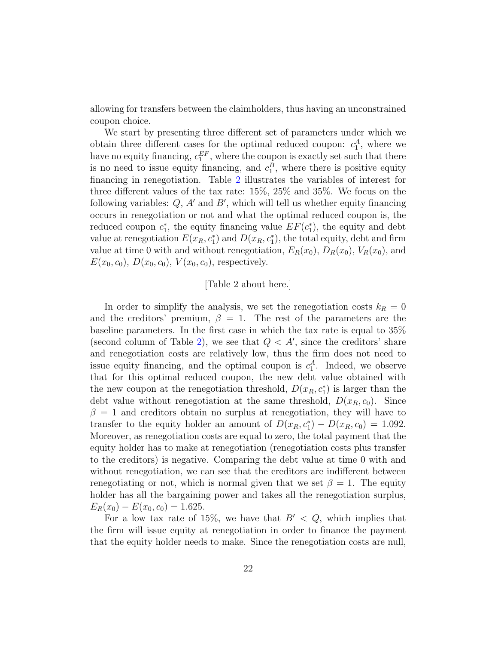allowing for transfers between the claimholders, thus having an unconstrained coupon choice.

We start by presenting three different set of parameters under which we obtain three different cases for the optimal reduced coupon:  $c_1^A$ , where we have no equity financing,  $c_1^{EF}$ , where the coupon is exactly set such that there is no need to issue equity financing, and  $c_1^B$ , where there is positive equity financing in renegotiation. Table [2](#page-49-0) illustrates the variables of interest for three different values of the tax rate: 15%, 25% and 35%. We focus on the following variables:  $Q$ ,  $A'$  and  $B'$ , which will tell us whether equity financing occurs in renegotiation or not and what the optimal reduced coupon is, the reduced coupon  $c_1^*$ , the equity financing value  $EF(c_1^*)$ , the equity and debt value at renegotiation  $E(x_R, c_1^*)$  and  $D(x_R, c_1^*)$ , the total equity, debt and firm value at time 0 with and without renegotiation,  $E_R(x_0)$ ,  $D_R(x_0)$ ,  $V_R(x_0)$ , and  $E(x_0, c_0), D(x_0, c_0), V(x_0, c_0)$ , respectively.

### [Table 2 about here.]

In order to simplify the analysis, we set the renegotiation costs  $k_R = 0$ and the creditors' premium,  $\beta = 1$ . The rest of the parameters are the baseline parameters. In the first case in which the tax rate is equal to 35% (second column of Table [2\)](#page-49-0), we see that  $Q < A'$ , since the creditors' share and renegotiation costs are relatively low, thus the firm does not need to issue equity financing, and the optimal coupon is  $c_1^A$ . Indeed, we observe that for this optimal reduced coupon, the new debt value obtained with the new coupon at the renegotiation threshold,  $D(x_R, c_1^*)$  is larger than the debt value without renegotiation at the same threshold,  $D(x_R, c_0)$ . Since  $\beta = 1$  and creditors obtain no surplus at renegotiation, they will have to transfer to the equity holder an amount of  $D(x_R, c_1^*) - D(x_R, c_0) = 1.092$ . Moreover, as renegotiation costs are equal to zero, the total payment that the equity holder has to make at renegotiation (renegotiation costs plus transfer to the creditors) is negative. Comparing the debt value at time 0 with and without renegotiation, we can see that the creditors are indifferent between renegotiating or not, which is normal given that we set  $\beta = 1$ . The equity holder has all the bargaining power and takes all the renegotiation surplus,  $E_R(x_0) - E(x_0, c_0) = 1.625.$ 

For a low tax rate of 15%, we have that  $B' < Q$ , which implies that the firm will issue equity at renegotiation in order to finance the payment that the equity holder needs to make. Since the renegotiation costs are null,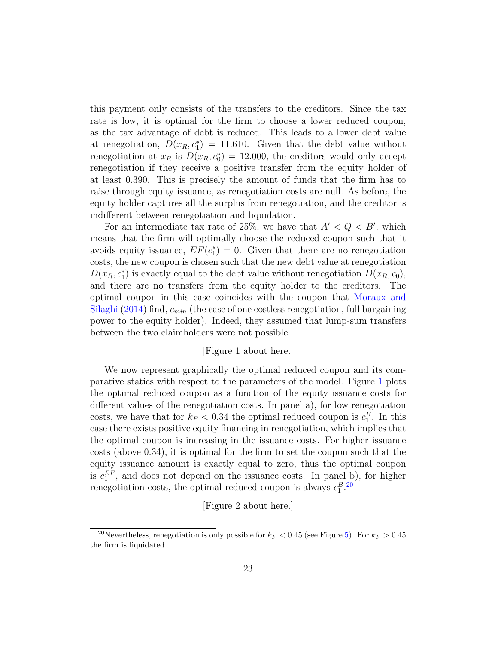this payment only consists of the transfers to the creditors. Since the tax rate is low, it is optimal for the firm to choose a lower reduced coupon, as the tax advantage of debt is reduced. This leads to a lower debt value at renegotiation,  $D(x_R, c_1^*) = 11.610$ . Given that the debt value without renegotiation at  $x_R$  is  $D(x_R, c_0^*) = 12.000$ , the creditors would only accept renegotiation if they receive a positive transfer from the equity holder of at least 0.390. This is precisely the amount of funds that the firm has to raise through equity issuance, as renegotiation costs are null. As before, the equity holder captures all the surplus from renegotiation, and the creditor is indifferent between renegotiation and liquidation.

For an intermediate tax rate of 25%, we have that  $A' < Q < B'$ , which means that the firm will optimally choose the reduced coupon such that it avoids equity issuance,  $EF(c_1^*) = 0$ . Given that there are no renegotiation costs, the new coupon is chosen such that the new debt value at renegotiation  $D(x_R, c_1^*)$  is exactly equal to the debt value without renegotiation  $D(x_R, c_0)$ , and there are no transfers from the equity holder to the creditors. The optimal coupon in this case coincides with the coupon that [Moraux and](#page-38-3) [Silaghi](#page-38-3) [\(2014\)](#page-38-3) find,  $c_{min}$  (the case of one costless renegotiation, full bargaining power to the equity holder). Indeed, they assumed that lump-sum transfers between the two claimholders were not possible.

## [Figure 1 about here.]

We now represent graphically the optimal reduced coupon and its comparative statics with respect to the parameters of the model. Figure [1](#page-39-0) plots the optimal reduced coupon as a function of the equity issuance costs for different values of the renegotiation costs. In panel a), for low renegotiation costs, we have that for  $k_F < 0.34$  the optimal reduced coupon is  $c_1^B$ . In this case there exists positive equity financing in renegotiation, which implies that the optimal coupon is increasing in the issuance costs. For higher issuance costs (above 0.34), it is optimal for the firm to set the coupon such that the equity issuance amount is exactly equal to zero, thus the optimal coupon is  $c_1^{EF}$ , and does not depend on the issuance costs. In panel b), for higher renegotiation costs, the optimal reduced coupon is always  $c_1^B$ .<sup>[20](#page-22-0)</sup>

[Figure 2 about here.]

<span id="page-22-0"></span><sup>&</sup>lt;sup>20</sup>Nevertheless, renegotiation is only possible for  $k_F < 0.45$  (see Figure [5\)](#page-42-0). For  $k_F > 0.45$ the firm is liquidated.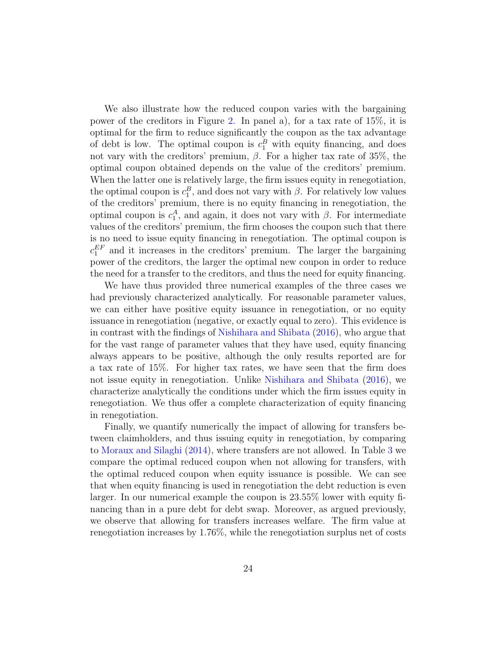We also illustrate how the reduced coupon varies with the bargaining power of the creditors in Figure [2.](#page-39-1) In panel a), for a tax rate of 15%, it is optimal for the firm to reduce significantly the coupon as the tax advantage of debt is low. The optimal coupon is  $c_1^B$  with equity financing, and does not vary with the creditors' premium,  $β$ . For a higher tax rate of 35%, the optimal coupon obtained depends on the value of the creditors' premium. When the latter one is relatively large, the firm issues equity in renegotiation, the optimal coupon is  $c_1^B$ , and does not vary with  $\beta$ . For relatively low values of the creditors' premium, there is no equity financing in renegotiation, the optimal coupon is  $c_1^A$ , and again, it does not vary with  $\beta$ . For intermediate values of the creditors' premium, the firm chooses the coupon such that there is no need to issue equity financing in renegotiation. The optimal coupon is  $c_1^{EF}$  and it increases in the creditors' premium. The larger the bargaining power of the creditors, the larger the optimal new coupon in order to reduce the need for a transfer to the creditors, and thus the need for equity financing.

We have thus provided three numerical examples of the three cases we had previously characterized analytically. For reasonable parameter values, we can either have positive equity issuance in renegotiation, or no equity issuance in renegotiation (negative, or exactly equal to zero). This evidence is in contrast with the findings of [Nishihara and Shibata](#page-38-7) [\(2016\)](#page-38-7), who argue that for the vast range of parameter values that they have used, equity financing always appears to be positive, although the only results reported are for a tax rate of 15%. For higher tax rates, we have seen that the firm does not issue equity in renegotiation. Unlike [Nishihara and Shibata](#page-38-7) [\(2016\)](#page-38-7), we characterize analytically the conditions under which the firm issues equity in renegotiation. We thus offer a complete characterization of equity financing in renegotiation.

Finally, we quantify numerically the impact of allowing for transfers between claimholders, and thus issuing equity in renegotiation, by comparing to [Moraux and Silaghi](#page-38-3) [\(2014\)](#page-38-3), where transfers are not allowed. In Table [3](#page-49-1) we compare the optimal reduced coupon when not allowing for transfers, with the optimal reduced coupon when equity issuance is possible. We can see that when equity financing is used in renegotiation the debt reduction is even larger. In our numerical example the coupon is 23.55% lower with equity financing than in a pure debt for debt swap. Moreover, as argued previously, we observe that allowing for transfers increases welfare. The firm value at renegotiation increases by 1.76%, while the renegotiation surplus net of costs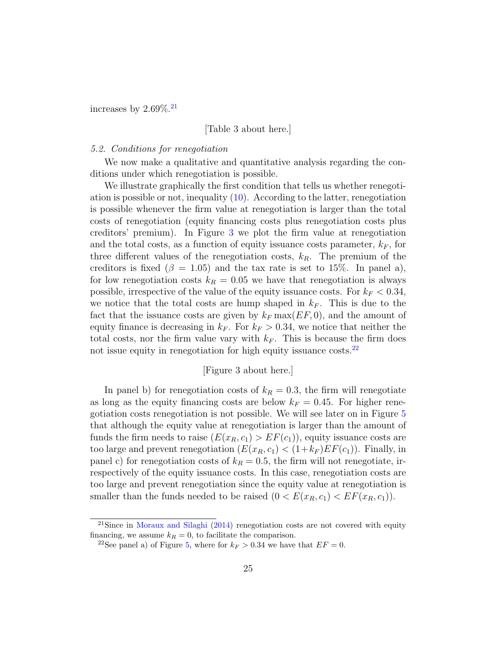increases by  $2.69\%$ <sup>[21](#page-24-0)</sup>

### [Table 3 about here.]

### 5.2. Conditions for renegotiation

We now make a qualitative and quantitative analysis regarding the conditions under which renegotiation is possible.

We illustrate graphically the first condition that tells us whether renegotiation is possible or not, inequality [\(10\)](#page-8-2). According to the latter, renegotiation is possible whenever the firm value at renegotiation is larger than the total costs of renegotiation (equity financing costs plus renegotiation costs plus creditors' premium). In Figure [3](#page-40-0) we plot the firm value at renegotiation and the total costs, as a function of equity issuance costs parameter,  $k_F$ , for three different values of the renegotiation costs,  $k_R$ . The premium of the creditors is fixed ( $\beta = 1.05$ ) and the tax rate is set to 15%. In panel a), for low renegotiation costs  $k_R = 0.05$  we have that renegotiation is always possible, irrespective of the value of the equity issuance costs. For  $k_F < 0.34$ , we notice that the total costs are hump shaped in  $k_F$ . This is due to the fact that the issuance costs are given by  $k_F \max(EF, 0)$ , and the amount of equity finance is decreasing in  $k_F$ . For  $k_F > 0.34$ , we notice that neither the total costs, nor the firm value vary with  $k_F$ . This is because the firm does not issue equity in renegotiation for high equity issuance costs.<sup>[22](#page-24-1)</sup>

### [Figure 3 about here.]

In panel b) for renegotiation costs of  $k_R = 0.3$ , the firm will renegotiate as long as the equity financing costs are below  $k_F = 0.45$ . For higher renegotiation costs renegotiation is not possible. We will see later on in Figure [5](#page-42-0) that although the equity value at renegotiation is larger than the amount of funds the firm needs to raise  $(E(x_R, c_1) > EF(c_1))$ , equity issuance costs are too large and prevent renegotiation  $(E(x_R, c_1) < (1+k_F)EF(c_1))$ . Finally, in panel c) for renegotiation costs of  $k_R = 0.5$ , the firm will not renegotiate, irrespectively of the equity issuance costs. In this case, renegotiation costs are too large and prevent renegotiation since the equity value at renegotiation is smaller than the funds needed to be raised  $(0 < E(x_R, c_1) < EF(x_R, c_1))$ .

<span id="page-24-0"></span><sup>&</sup>lt;sup>21</sup>Since in [Moraux and Silaghi](#page-38-3) [\(2014\)](#page-38-3) renegotiation costs are not covered with equity financing, we assume  $k_R = 0$ , to facilitate the comparison.

<span id="page-24-1"></span><sup>&</sup>lt;sup>22</sup>See panel a) of Figure [5,](#page-42-0) where for  $k_F > 0.34$  we have that  $EF = 0$ .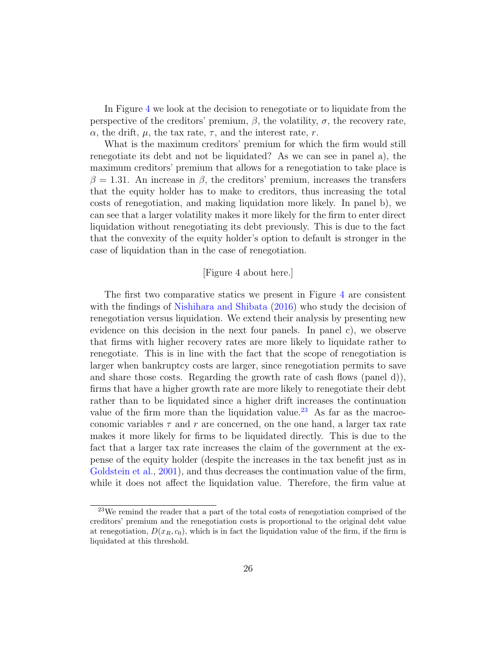In Figure [4](#page-41-0) we look at the decision to renegotiate or to liquidate from the perspective of the creditors' premium,  $\beta$ , the volatility,  $\sigma$ , the recovery rate,  $\alpha$ , the drift,  $\mu$ , the tax rate,  $\tau$ , and the interest rate, r.

What is the maximum creditors' premium for which the firm would still renegotiate its debt and not be liquidated? As we can see in panel a), the maximum creditors' premium that allows for a renegotiation to take place is  $\beta = 1.31$ . An increase in  $\beta$ , the creditors' premium, increases the transfers that the equity holder has to make to creditors, thus increasing the total costs of renegotiation, and making liquidation more likely. In panel b), we can see that a larger volatility makes it more likely for the firm to enter direct liquidation without renegotiating its debt previously. This is due to the fact that the convexity of the equity holder's option to default is stronger in the case of liquidation than in the case of renegotiation.

### [Figure 4 about here.]

The first two comparative statics we present in Figure [4](#page-41-0) are consistent with the findings of [Nishihara and Shibata](#page-38-7) [\(2016\)](#page-38-7) who study the decision of renegotiation versus liquidation. We extend their analysis by presenting new evidence on this decision in the next four panels. In panel c), we observe that firms with higher recovery rates are more likely to liquidate rather to renegotiate. This is in line with the fact that the scope of renegotiation is larger when bankruptcy costs are larger, since renegotiation permits to save and share those costs. Regarding the growth rate of cash flows (panel d)), firms that have a higher growth rate are more likely to renegotiate their debt rather than to be liquidated since a higher drift increases the continuation value of the firm more than the liquidation value.<sup>[23](#page-25-0)</sup> As far as the macroeconomic variables  $\tau$  and r are concerned, on the one hand, a larger tax rate makes it more likely for firms to be liquidated directly. This is due to the fact that a larger tax rate increases the claim of the government at the expense of the equity holder (despite the increases in the tax benefit just as in [Goldstein et al.,](#page-38-9) [2001\)](#page-38-9), and thus decreases the continuation value of the firm, while it does not affect the liquidation value. Therefore, the firm value at

<span id="page-25-0"></span><sup>23</sup>We remind the reader that a part of the total costs of renegotiation comprised of the creditors' premium and the renegotiation costs is proportional to the original debt value at renegotiation,  $D(x_R, c_0)$ , which is in fact the liquidation value of the firm, if the firm is liquidated at this threshold.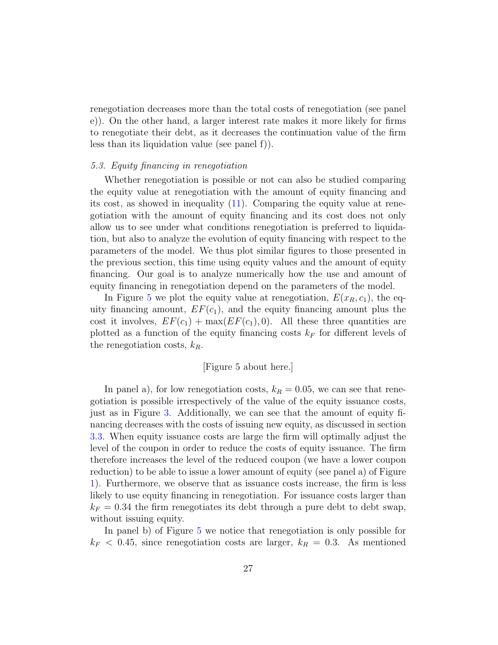renegotiation decreases more than the total costs of renegotiation (see panel e)). On the other hand, a larger interest rate makes it more likely for firms to renegotiate their debt, as it decreases the continuation value of the firm less than its liquidation value (see panel f)).

#### 5.3. Equity financing in renegotiation

Whether renegotiation is possible or not can also be studied comparing the equity value at renegotiation with the amount of equity financing and its cost, as showed in inequality [\(11\)](#page-8-1). Comparing the equity value at renegotiation with the amount of equity financing and its cost does not only allow us to see under what conditions renegotiation is preferred to liquidation, but also to analyze the evolution of equity financing with respect to the parameters of the model. We thus plot similar figures to those presented in the previous section, this time using equity values and the amount of equity financing. Our goal is to analyze numerically how the use and amount of equity financing in renegotiation depend on the parameters of the model.

In Figure [5](#page-42-0) we plot the equity value at renegotiation,  $E(x_R, c_1)$ , the equity financing amount,  $EF(c_1)$ , and the equity financing amount plus the cost it involves,  $EF(c_1) + \max(EF(c_1), 0)$ . All these three quantities are plotted as a function of the equity financing costs  $k_F$  for different levels of the renegotiation costs,  $k_R$ .

### [Figure 5 about here.]

In panel a), for low renegotiation costs,  $k_R = 0.05$ , we can see that renegotiation is possible irrespectively of the value of the equity issuance costs, just as in Figure [3.](#page-40-0) Additionally, we can see that the amount of equity financing decreases with the costs of issuing new equity, as discussed in section [3.3.](#page-14-0) When equity issuance costs are large the firm will optimally adjust the level of the coupon in order to reduce the costs of equity issuance. The firm therefore increases the level of the reduced coupon (we have a lower coupon reduction) to be able to issue a lower amount of equity (see panel a) of Figure [1\)](#page-39-0). Furthermore, we observe that as issuance costs increase, the firm is less likely to use equity financing in renegotiation. For issuance costs larger than  $k_F = 0.34$  the firm renegotiates its debt through a pure debt to debt swap, without issuing equity.

In panel b) of Figure [5](#page-42-0) we notice that renegotiation is only possible for  $k_F$  < 0.45, since renegotiation costs are larger,  $k_R = 0.3$ . As mentioned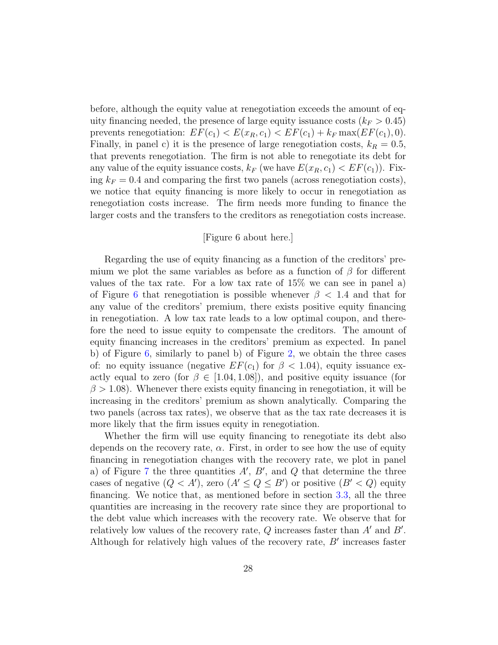before, although the equity value at renegotiation exceeds the amount of equity financing needed, the presence of large equity issuance costs  $(k_F > 0.45)$ prevents renegotiation:  $EF(c_1) < E(x_R, c_1) < EF(c_1) + k_F \max(EF(c_1), 0)$ . Finally, in panel c) it is the presence of large renegotiation costs,  $k_R = 0.5$ , that prevents renegotiation. The firm is not able to renegotiate its debt for any value of the equity issuance costs,  $k_F$  (we have  $E(x_R, c_1) < EF(c_1)$ ). Fixing  $k_F = 0.4$  and comparing the first two panels (across renegotiation costs), we notice that equity financing is more likely to occur in renegotiation as renegotiation costs increase. The firm needs more funding to finance the larger costs and the transfers to the creditors as renegotiation costs increase.

### [Figure 6 about here.]

Regarding the use of equity financing as a function of the creditors' premium we plot the same variables as before as a function of  $\beta$  for different values of the tax rate. For a low tax rate of 15% we can see in panel a) of Figure [6](#page-42-1) that renegotiation is possible whenever  $\beta$  < 1.4 and that for any value of the creditors' premium, there exists positive equity financing in renegotiation. A low tax rate leads to a low optimal coupon, and therefore the need to issue equity to compensate the creditors. The amount of equity financing increases in the creditors' premium as expected. In panel b) of Figure  $6$ , similarly to panel b) of Figure [2,](#page-39-1) we obtain the three cases of: no equity issuance (negative  $EF(c_1)$  for  $\beta < 1.04$ ), equity issuance exactly equal to zero (for  $\beta \in [1.04, 1.08]$ ), and positive equity issuance (for  $\beta$  > 1.08). Whenever there exists equity financing in renegotiation, it will be increasing in the creditors' premium as shown analytically. Comparing the two panels (across tax rates), we observe that as the tax rate decreases it is more likely that the firm issues equity in renegotiation.

Whether the firm will use equity financing to renegotiate its debt also depends on the recovery rate,  $\alpha$ . First, in order to see how the use of equity financing in renegotiation changes with the recovery rate, we plot in panel a) of Figure [7](#page-43-0) the three quantities  $A'$ ,  $B'$ , and  $Q$  that determine the three cases of negative  $(Q < A')$ , zero  $(A' \le Q \le B')$  or positive  $(B' < Q)$  equity financing. We notice that, as mentioned before in section [3.3,](#page-14-0) all the three quantities are increasing in the recovery rate since they are proportional to the debt value which increases with the recovery rate. We observe that for relatively low values of the recovery rate,  $Q$  increases faster than  $A'$  and  $B'$ . Although for relatively high values of the recovery rate,  $B'$  increases faster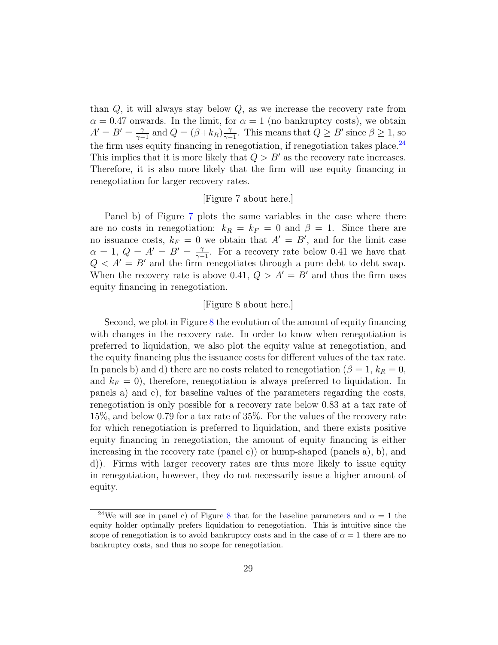than  $Q$ , it will always stay below  $Q$ , as we increase the recovery rate from  $\alpha = 0.47$  onwards. In the limit, for  $\alpha = 1$  (no bankruptcy costs), we obtain  $A'=B'=\frac{\gamma}{\gamma}$  $\frac{\gamma}{\gamma-1}$  and  $Q = (\beta + k_R) \frac{\gamma}{\gamma-1}$  $\frac{\gamma}{\gamma-1}$ . This means that  $Q \geq B'$  since  $\beta \geq 1$ , so the firm uses equity financing in renegotiation, if renegotiation takes place.<sup>[24](#page-28-0)</sup> This implies that it is more likely that  $Q > B'$  as the recovery rate increases. Therefore, it is also more likely that the firm will use equity financing in renegotiation for larger recovery rates.

# [Figure 7 about here.]

Panel b) of Figure [7](#page-43-0) plots the same variables in the case where there are no costs in renegotiation:  $k_R = k_F = 0$  and  $\beta = 1$ . Since there are no issuance costs,  $k_F = 0$  we obtain that  $A' = B'$ , and for the limit case  $\alpha = 1, Q = A' = B' = \frac{1}{\alpha}$  $\frac{\gamma}{\gamma-1}$ . For a recovery rate below 0.41 we have that  $Q < A' = B'$  and the firm renegotiates through a pure debt to debt swap. When the recovery rate is above 0.41,  $Q > A' = B'$  and thus the firm uses equity financing in renegotiation.

### [Figure 8 about here.]

Second, we plot in Figure [8](#page-44-0) the evolution of the amount of equity financing with changes in the recovery rate. In order to know when renegotiation is preferred to liquidation, we also plot the equity value at renegotiation, and the equity financing plus the issuance costs for different values of the tax rate. In panels b) and d) there are no costs related to renegotiation ( $\beta = 1, k_R = 0$ , and  $k_F = 0$ , therefore, renegotiation is always preferred to liquidation. In panels a) and c), for baseline values of the parameters regarding the costs, renegotiation is only possible for a recovery rate below 0.83 at a tax rate of 15%, and below 0.79 for a tax rate of 35%. For the values of the recovery rate for which renegotiation is preferred to liquidation, and there exists positive equity financing in renegotiation, the amount of equity financing is either increasing in the recovery rate (panel c)) or hump-shaped (panels a), b), and d)). Firms with larger recovery rates are thus more likely to issue equity in renegotiation, however, they do not necessarily issue a higher amount of equity.

<span id="page-28-0"></span><sup>&</sup>lt;sup>24</sup>We will see in panel c) of Figure [8](#page-44-0) that for the baseline parameters and  $\alpha = 1$  the equity holder optimally prefers liquidation to renegotiation. This is intuitive since the scope of renegotiation is to avoid bankruptcy costs and in the case of  $\alpha = 1$  there are no bankruptcy costs, and thus no scope for renegotiation.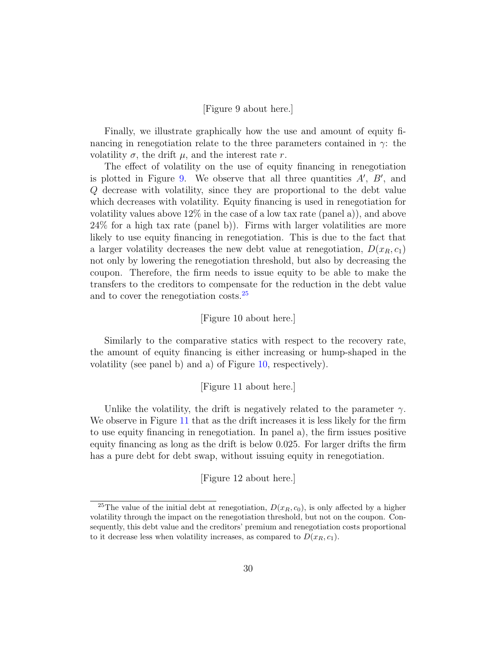### [Figure 9 about here.]

Finally, we illustrate graphically how the use and amount of equity financing in renegotiation relate to the three parameters contained in  $\gamma$ : the volatility  $\sigma$ , the drift  $\mu$ , and the interest rate r.

The effect of volatility on the use of equity financing in renegotiation is plotted in Figure [9.](#page-45-0) We observe that all three quantities  $A'$ ,  $B'$ , and Q decrease with volatility, since they are proportional to the debt value which decreases with volatility. Equity financing is used in renegotiation for volatility values above  $12\%$  in the case of a low tax rate (panel a)), and above 24% for a high tax rate (panel b)). Firms with larger volatilities are more likely to use equity financing in renegotiation. This is due to the fact that a larger volatility decreases the new debt value at renegotiation,  $D(x_R, c_1)$ not only by lowering the renegotiation threshold, but also by decreasing the coupon. Therefore, the firm needs to issue equity to be able to make the transfers to the creditors to compensate for the reduction in the debt value and to cover the renegotiation costs.[25](#page-29-0)

### [Figure 10 about here.]

Similarly to the comparative statics with respect to the recovery rate, the amount of equity financing is either increasing or hump-shaped in the volatility (see panel b) and a) of Figure [10,](#page-45-1) respectively).

### [Figure 11 about here.]

Unlike the volatility, the drift is negatively related to the parameter  $\gamma$ . We observe in Figure [11](#page-45-2) that as the drift increases it is less likely for the firm to use equity financing in renegotiation. In panel a), the firm issues positive equity financing as long as the drift is below 0.025. For larger drifts the firm has a pure debt for debt swap, without issuing equity in renegotiation.

[Figure 12 about here.]

<span id="page-29-0"></span><sup>&</sup>lt;sup>25</sup>The value of the initial debt at renegotiation,  $D(x_R, c_0)$ , is only affected by a higher volatility through the impact on the renegotiation threshold, but not on the coupon. Consequently, this debt value and the creditors' premium and renegotiation costs proportional to it decrease less when volatility increases, as compared to  $D(x_R, c_1)$ .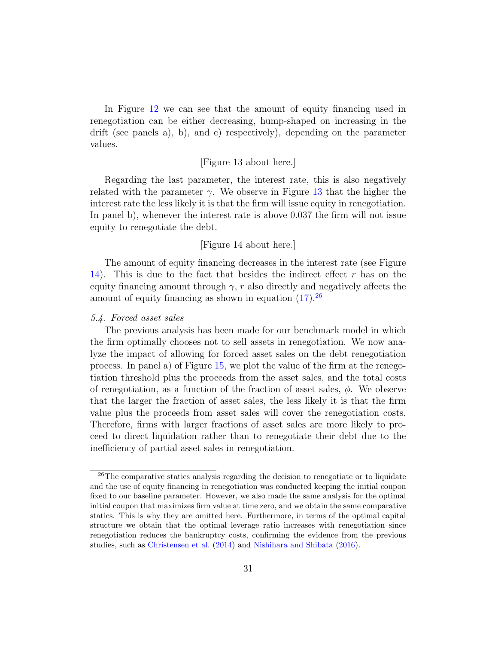In Figure [12](#page-46-0) we can see that the amount of equity financing used in renegotiation can be either decreasing, hump-shaped on increasing in the drift (see panels a), b), and c) respectively), depending on the parameter values.

### [Figure 13 about here.]

Regarding the last parameter, the interest rate, this is also negatively related with the parameter  $\gamma$ . We observe in Figure [13](#page-46-1) that the higher the interest rate the less likely it is that the firm will issue equity in renegotiation. In panel b), whenever the interest rate is above 0.037 the firm will not issue equity to renegotiate the debt.

### [Figure 14 about here.]

The amount of equity financing decreases in the interest rate (see Figure [14\)](#page-46-2). This is due to the fact that besides the indirect effect  $r$  has on the equity financing amount through  $\gamma$ , r also directly and negatively affects the amount of equity financing as shown in equation  $(17)$ .<sup>[26](#page-30-0)</sup>

### 5.4. Forced asset sales

The previous analysis has been made for our benchmark model in which the firm optimally chooses not to sell assets in renegotiation. We now analyze the impact of allowing for forced asset sales on the debt renegotiation process. In panel a) of Figure [15,](#page-47-0) we plot the value of the firm at the renegotiation threshold plus the proceeds from the asset sales, and the total costs of renegotiation, as a function of the fraction of asset sales,  $\phi$ . We observe that the larger the fraction of asset sales, the less likely it is that the firm value plus the proceeds from asset sales will cover the renegotiation costs. Therefore, firms with larger fractions of asset sales are more likely to proceed to direct liquidation rather than to renegotiate their debt due to the inefficiency of partial asset sales in renegotiation.

<span id="page-30-0"></span><sup>26</sup>The comparative statics analysis regarding the decision to renegotiate or to liquidate and the use of equity financing in renegotiation was conducted keeping the initial coupon fixed to our baseline parameter. However, we also made the same analysis for the optimal initial coupon that maximizes firm value at time zero, and we obtain the same comparative statics. This is why they are omitted here. Furthermore, in terms of the optimal capital structure we obtain that the optimal leverage ratio increases with renegotiation since renegotiation reduces the bankruptcy costs, confirming the evidence from the previous studies, such as [Christensen et al.](#page-37-12) [\(2014\)](#page-37-12) and [Nishihara and Shibata](#page-38-7) [\(2016\)](#page-38-7).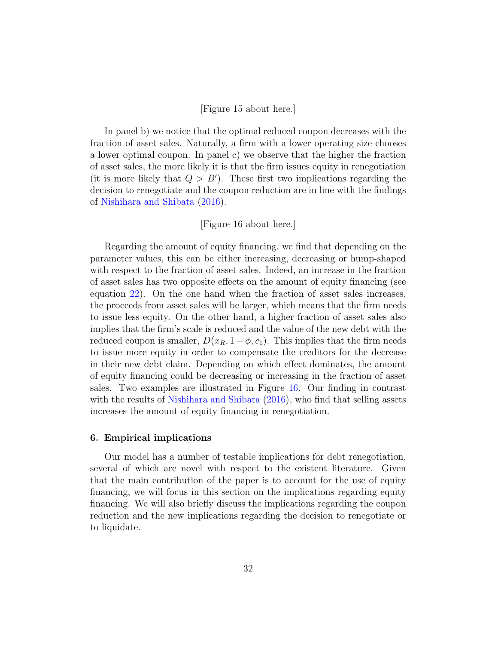### [Figure 15 about here.]

In panel b) we notice that the optimal reduced coupon decreases with the fraction of asset sales. Naturally, a firm with a lower operating size chooses a lower optimal coupon. In panel c) we observe that the higher the fraction of asset sales, the more likely it is that the firm issues equity in renegotiation (it is more likely that  $Q > B'$ ). These first two implications regarding the decision to renegotiate and the coupon reduction are in line with the findings of [Nishihara and Shibata](#page-38-7) [\(2016\)](#page-38-7).

### [Figure 16 about here.]

Regarding the amount of equity financing, we find that depending on the parameter values, this can be either increasing, decreasing or hump-shaped with respect to the fraction of asset sales. Indeed, an increase in the fraction of asset sales has two opposite effects on the amount of equity financing (see equation [22\)](#page-18-1). On the one hand when the fraction of asset sales increases, the proceeds from asset sales will be larger, which means that the firm needs to issue less equity. On the other hand, a higher fraction of asset sales also implies that the firm's scale is reduced and the value of the new debt with the reduced coupon is smaller,  $D(x_R, 1 - \phi, c_1)$ . This implies that the firm needs to issue more equity in order to compensate the creditors for the decrease in their new debt claim. Depending on which effect dominates, the amount of equity financing could be decreasing or increasing in the fraction of asset sales. Two examples are illustrated in Figure [16.](#page-47-1) Our finding in contrast with the results of [Nishihara and Shibata](#page-38-7) [\(2016\)](#page-38-7), who find that selling assets increases the amount of equity financing in renegotiation.

#### <span id="page-31-0"></span>6. Empirical implications

Our model has a number of testable implications for debt renegotiation, several of which are novel with respect to the existent literature. Given that the main contribution of the paper is to account for the use of equity financing, we will focus in this section on the implications regarding equity financing. We will also briefly discuss the implications regarding the coupon reduction and the new implications regarding the decision to renegotiate or to liquidate.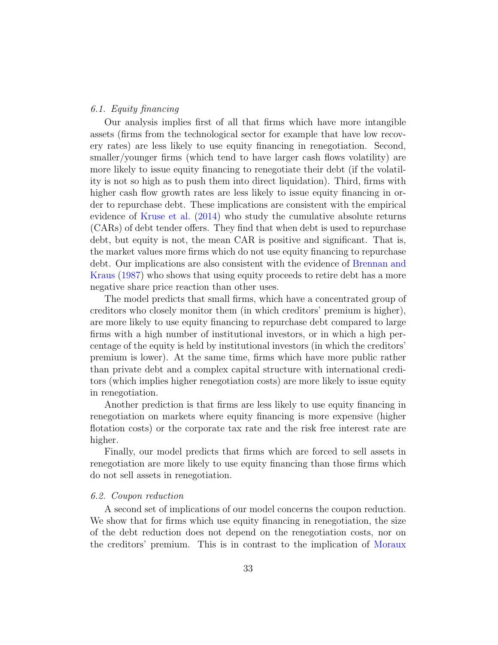#### 6.1. Equity financing

Our analysis implies first of all that firms which have more intangible assets (firms from the technological sector for example that have low recovery rates) are less likely to use equity financing in renegotiation. Second, smaller/younger firms (which tend to have larger cash flows volatility) are more likely to issue equity financing to renegotiate their debt (if the volatility is not so high as to push them into direct liquidation). Third, firms with higher cash flow growth rates are less likely to issue equity financing in order to repurchase debt. These implications are consistent with the empirical evidence of [Kruse et al.](#page-38-4) [\(2014\)](#page-38-4) who study the cumulative absolute returns (CARs) of debt tender offers. They find that when debt is used to repurchase debt, but equity is not, the mean CAR is positive and significant. That is, the market values more firms which do not use equity financing to repurchase debt. Our implications are also consistent with the evidence of [Brennan and](#page-37-4) [Kraus](#page-37-4) [\(1987\)](#page-37-4) who shows that using equity proceeds to retire debt has a more negative share price reaction than other uses.

The model predicts that small firms, which have a concentrated group of creditors who closely monitor them (in which creditors' premium is higher), are more likely to use equity financing to repurchase debt compared to large firms with a high number of institutional investors, or in which a high percentage of the equity is held by institutional investors (in which the creditors' premium is lower). At the same time, firms which have more public rather than private debt and a complex capital structure with international creditors (which implies higher renegotiation costs) are more likely to issue equity in renegotiation.

Another prediction is that firms are less likely to use equity financing in renegotiation on markets where equity financing is more expensive (higher flotation costs) or the corporate tax rate and the risk free interest rate are higher.

Finally, our model predicts that firms which are forced to sell assets in renegotiation are more likely to use equity financing than those firms which do not sell assets in renegotiation.

#### 6.2. Coupon reduction

A second set of implications of our model concerns the coupon reduction. We show that for firms which use equity financing in renegotiation, the size of the debt reduction does not depend on the renegotiation costs, nor on the creditors' premium. This is in contrast to the implication of [Moraux](#page-38-3)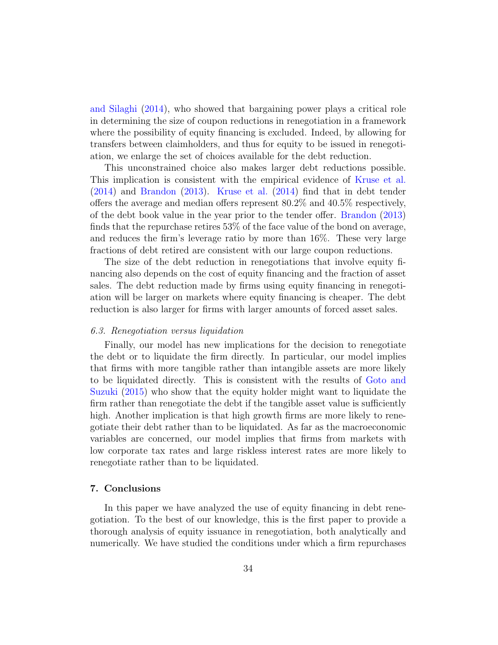[and Silaghi](#page-38-3) [\(2014\)](#page-38-3), who showed that bargaining power plays a critical role in determining the size of coupon reductions in renegotiation in a framework where the possibility of equity financing is excluded. Indeed, by allowing for transfers between claimholders, and thus for equity to be issued in renegotiation, we enlarge the set of choices available for the debt reduction.

This unconstrained choice also makes larger debt reductions possible. This implication is consistent with the empirical evidence of [Kruse et al.](#page-38-4) [\(2014\)](#page-38-4) and [Brandon](#page-37-3) [\(2013\)](#page-37-3). [Kruse et al.](#page-38-4) [\(2014\)](#page-38-4) find that in debt tender offers the average and median offers represent 80.2% and 40.5% respectively, of the debt book value in the year prior to the tender offer. [Brandon](#page-37-3) [\(2013\)](#page-37-3) finds that the repurchase retires 53% of the face value of the bond on average, and reduces the firm's leverage ratio by more than 16%. These very large fractions of debt retired are consistent with our large coupon reductions.

The size of the debt reduction in renegotiations that involve equity financing also depends on the cost of equity financing and the fraction of asset sales. The debt reduction made by firms using equity financing in renegotiation will be larger on markets where equity financing is cheaper. The debt reduction is also larger for firms with larger amounts of forced asset sales.

#### 6.3. Renegotiation versus liquidation

Finally, our model has new implications for the decision to renegotiate the debt or to liquidate the firm directly. In particular, our model implies that firms with more tangible rather than intangible assets are more likely to be liquidated directly. This is consistent with the results of [Goto and](#page-38-13) [Suzuki](#page-38-13) [\(2015\)](#page-38-13) who show that the equity holder might want to liquidate the firm rather than renegotiate the debt if the tangible asset value is sufficiently high. Another implication is that high growth firms are more likely to renegotiate their debt rather than to be liquidated. As far as the macroeconomic variables are concerned, our model implies that firms from markets with low corporate tax rates and large riskless interest rates are more likely to renegotiate rather than to be liquidated.

### <span id="page-33-0"></span>7. Conclusions

In this paper we have analyzed the use of equity financing in debt renegotiation. To the best of our knowledge, this is the first paper to provide a thorough analysis of equity issuance in renegotiation, both analytically and numerically. We have studied the conditions under which a firm repurchases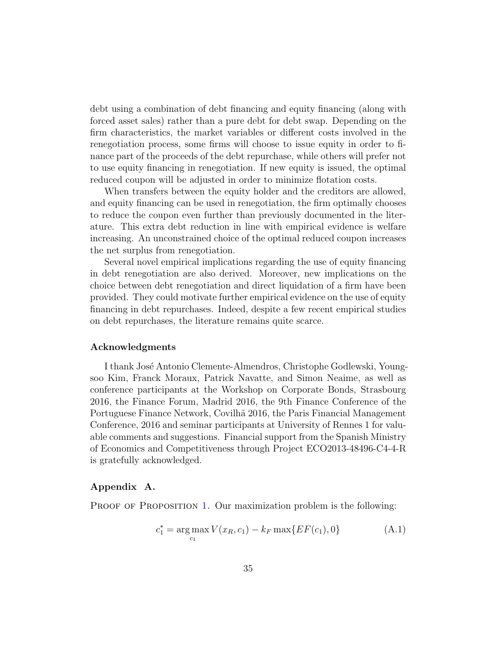debt using a combination of debt financing and equity financing (along with forced asset sales) rather than a pure debt for debt swap. Depending on the firm characteristics, the market variables or different costs involved in the renegotiation process, some firms will choose to issue equity in order to finance part of the proceeds of the debt repurchase, while others will prefer not to use equity financing in renegotiation. If new equity is issued, the optimal reduced coupon will be adjusted in order to minimize flotation costs.

When transfers between the equity holder and the creditors are allowed, and equity financing can be used in renegotiation, the firm optimally chooses to reduce the coupon even further than previously documented in the literature. This extra debt reduction in line with empirical evidence is welfare increasing. An unconstrained choice of the optimal reduced coupon increases the net surplus from renegotiation.

Several novel empirical implications regarding the use of equity financing in debt renegotiation are also derived. Moreover, new implications on the choice between debt renegotiation and direct liquidation of a firm have been provided. They could motivate further empirical evidence on the use of equity financing in debt repurchases. Indeed, despite a few recent empirical studies on debt repurchases, the literature remains quite scarce.

#### Acknowledgments

I thank José Antonio Clemente-Almendros, Christophe Godlewski, Youngsoo Kim, Franck Moraux, Patrick Navatte, and Simon Neaime, as well as conference participants at the Workshop on Corporate Bonds, Strasbourg 2016, the Finance Forum, Madrid 2016, the 9th Finance Conference of the Portuguese Finance Network, Covilhã 2016, the Paris Financial Management Conference, 2016 and seminar participants at University of Rennes 1 for valuable comments and suggestions. Financial support from the Spanish Ministry of Economics and Competitiveness through Project ECO2013-48496-C4-4-R is gratefully acknowledged.

### Appendix A.

PROOF OF PROPOSITION [1.](#page-10-0) Our maximization problem is the following:

$$
c_1^* = \underset{c_1}{\arg \max} V(x_R, c_1) - k_F \max\{ EF(c_1), 0\} \tag{A.1}
$$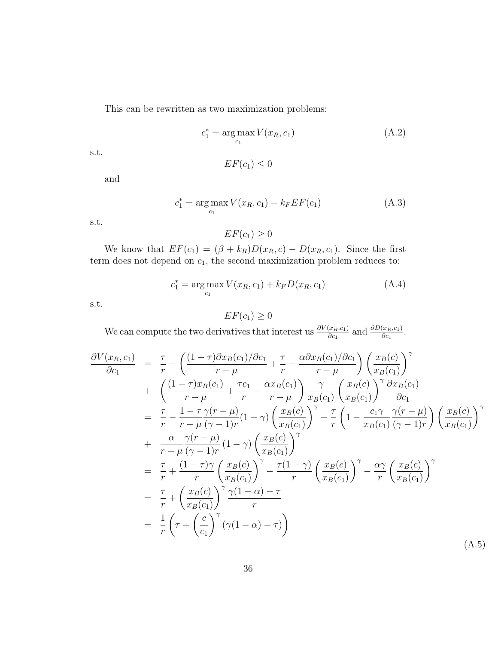This can be rewritten as two maximization problems:

$$
c_1^* = \underset{c_1}{\arg \max} V(x_R, c_1) \tag{A.2}
$$

s.t.

$$
EF(c_1) \leq 0
$$

and

$$
c_1^* = \underset{c_1}{\arg \max} V(x_R, c_1) - k_F EF(c_1)
$$
 (A.3)

s.t.

 $EF(c_1) \geq 0$ 

We know that  $EF(c_1) = (\beta + k_R)D(x_R, c) - D(x_R, c_1)$ . Since the first term does not depend on  $c_1$ , the second maximization problem reduces to:

$$
c_1^* = \underset{c_1}{\arg \max} V(x_R, c_1) + k_F D(x_R, c_1) \tag{A.4}
$$

s.t.

# $EF(c_1) \geq 0$

We can compute the two derivatives that interest us  $\frac{\partial V(x_R,c_1)}{\partial c_1}$  and  $\frac{\partial D(x_R,c_1)}{\partial c_1}$ .

<span id="page-35-0"></span>
$$
\frac{\partial V(x_R, c_1)}{\partial c_1} = \frac{\tau}{r} - \left( \frac{(1-\tau)\partial x_B(c_1)/\partial c_1}{r-\mu} + \frac{\tau}{r} - \frac{\alpha \partial x_B(c_1)/\partial c_1}{r-\mu} \right) \left( \frac{x_B(c)}{x_B(c_1)} \right)^{\gamma} \n+ \left( \frac{(1-\tau)x_B(c_1)}{r-\mu} + \frac{\tau c_1}{r} - \frac{\alpha x_B(c_1)}{r-\mu} \right) \frac{\gamma}{x_B(c_1)} \left( \frac{x_B(c)}{x_B(c_1)} \right)^{\gamma} \frac{\partial x_B(c_1)}{\partial c_1} \n= \frac{\tau}{r} - \frac{1-\tau \gamma(r-\mu)}{r-\mu (\gamma-1)r} (1-\gamma) \left( \frac{x_B(c)}{x_B(c_1)} \right)^{\gamma} - \frac{\tau}{r} \left( 1 - \frac{c_1 \gamma}{x_B(c_1)} \frac{\gamma(r-\mu)}{(\gamma-1)r} \right) \left( \frac{x_B(c)}{x_B(c_1)} \right)^{\gamma} \n+ \frac{\alpha}{r-\mu} \frac{\gamma(r-\mu)}{(\gamma-1)r} (1-\gamma) \left( \frac{x_B(c)}{x_B(c_1)} \right)^{\gamma} \n= \frac{\tau}{r} + \frac{(1-\tau)\gamma}{r} \left( \frac{x_B(c)}{x_B(c_1)} \right)^{\gamma} - \frac{\tau(1-\gamma)}{r} \left( \frac{x_B(c)}{x_B(c_1)} \right)^{\gamma} - \frac{\alpha \gamma}{r} \left( \frac{x_B(c)}{x_B(c_1)} \right)^{\gamma} \n= \frac{\tau}{r} + \left( \frac{x_B(c)}{x_B(c_1)} \right)^{\gamma} \frac{\gamma(1-\alpha)-\tau}{r} \n= \frac{1}{r} \left( \tau + \left( \frac{c}{c_1} \right)^{\gamma} (\gamma(1-\alpha)-\tau) \right)
$$
\n(A.5)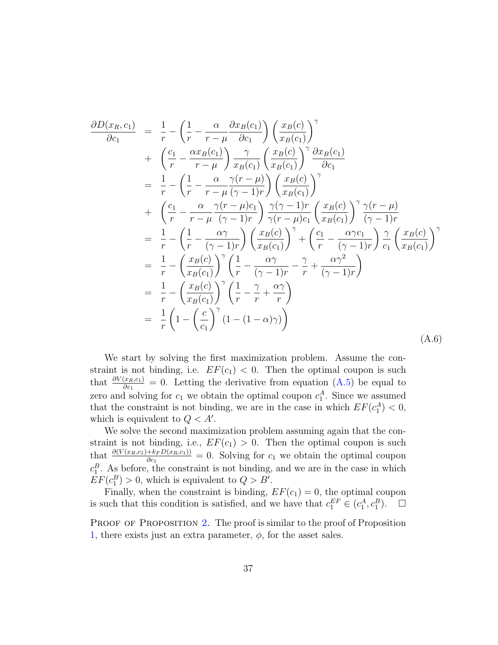$$
\frac{\partial D(x_R, c_1)}{\partial c_1} = \frac{1}{r} - \left(\frac{1}{r} - \frac{\alpha}{r - \mu} \frac{\partial x_B(c_1)}{\partial c_1}\right) \left(\frac{x_B(c)}{x_B(c_1)}\right)^{\gamma} \n+ \left(\frac{c_1}{r} - \frac{\alpha x_B(c_1)}{r - \mu}\right) \frac{\gamma}{x_B(c_1)} \left(\frac{x_B(c)}{x_B(c_1)}\right)^{\gamma} \frac{\partial x_B(c_1)}{\partial c_1} \n= \frac{1}{r} - \left(\frac{1}{r} - \frac{\alpha}{r - \mu} \frac{\gamma(r - \mu)}{(\gamma - 1)r}\right) \left(\frac{x_B(c)}{x_B(c_1)}\right)^{\gamma} \n+ \left(\frac{c_1}{r} - \frac{\alpha}{r - \mu} \frac{\gamma(r - \mu)c_1}{(\gamma - 1)r}\right) \frac{\gamma(\gamma - 1)r}{\gamma(r - \mu)c_1} \left(\frac{x_B(c)}{x_B(c_1)}\right)^{\gamma} \frac{\gamma(r - \mu)}{(\gamma - 1)r} \n= \frac{1}{r} - \left(\frac{1}{r} - \frac{\alpha \gamma}{(\gamma - 1)r}\right) \left(\frac{x_B(c)}{x_B(c_1)}\right)^{\gamma} + \left(\frac{c_1}{r} - \frac{\alpha \gamma c_1}{(\gamma - 1)r}\right) \frac{\gamma}{c_1} \left(\frac{x_B(c)}{x_B(c_1)}\right)^{\gamma} \n= \frac{1}{r} - \left(\frac{x_B(c)}{x_B(c_1)}\right)^{\gamma} \left(\frac{1}{r} - \frac{\alpha \gamma}{(\gamma - 1)r} - \frac{\gamma}{r} + \frac{\alpha \gamma^2}{(\gamma - 1)r}\right) \n= \frac{1}{r} - \left(\frac{x_B(c)}{x_B(c_1)}\right)^{\gamma} \left(\frac{1}{r} - \frac{\gamma}{r} + \frac{\alpha \gamma}{r}\right) \n= \frac{1}{r} \left(1 - \left(\frac{c}{c_1}\right)^{\gamma} (1 - (1 - \alpha)\gamma)\right)
$$
\n(A.6)

We start by solving the first maximization problem. Assume the constraint is not binding, i.e.  $EF(c_1) < 0$ . Then the optimal coupon is such that  $\frac{\partial V(x_R,c_1)}{\partial c_1} = 0$ . Letting the derivative from equation [\(A.5\)](#page-35-0) be equal to zero and solving for  $c_1$  we obtain the optimal coupon  $c_1^A$ . Since we assumed that the constraint is not binding, we are in the case in which  $EF(c_1^A) < 0$ , which is equivalent to  $Q < A'$ .

We solve the second maximization problem assuming again that the constraint is not binding, i.e.,  $EF(c_1) > 0$ . Then the optimal coupon is such that  $\frac{\partial (V(x_R,c_1)+k_F D(x_R,c_1))}{\partial c_1} = 0$ . Solving for  $c_1$  we obtain the optimal coupon  $c_1^B$ . As before, the constraint is not binding, and we are in the case in which  $EF(c_1^B) > 0$ , which is equivalent to  $Q > B'$ .

Finally, when the constraint is binding,  $EF(c_1) = 0$ , the optimal coupon is such that this condition is satisfied, and we have that  $c_1^{EF} \in (c_1^A, c_1^B)$  $\Box$ 

PROOF OF PROPOSITION [2.](#page-19-0) The proof is similar to the proof of Proposition [1,](#page-10-0) there exists just an extra parameter,  $\phi$ , for the asset sales.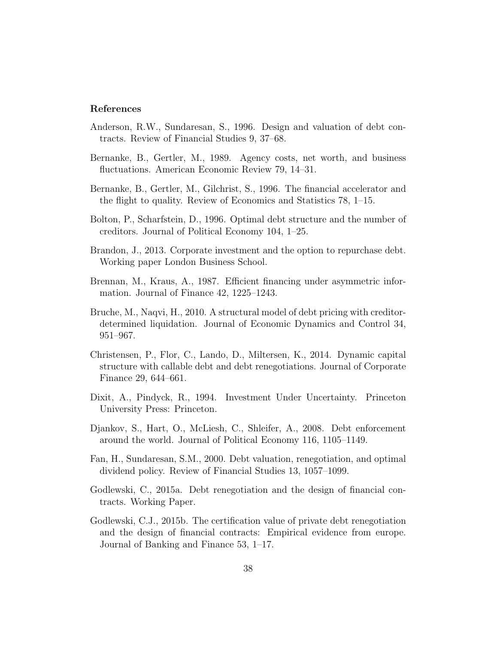### References

- <span id="page-37-0"></span>Anderson, R.W., Sundaresan, S., 1996. Design and valuation of debt contracts. Review of Financial Studies 9, 37–68.
- <span id="page-37-9"></span>Bernanke, B., Gertler, M., 1989. Agency costs, net worth, and business fluctuations. American Economic Review 79, 14–31.
- <span id="page-37-10"></span>Bernanke, B., Gertler, M., Gilchrist, S., 1996. The financial accelerator and the flight to quality. Review of Economics and Statistics 78, 1–15.
- <span id="page-37-2"></span>Bolton, P., Scharfstein, D., 1996. Optimal debt structure and the number of creditors. Journal of Political Economy 104, 1–25.
- <span id="page-37-3"></span>Brandon, J., 2013. Corporate investment and the option to repurchase debt. Working paper London Business School.
- <span id="page-37-4"></span>Brennan, M., Kraus, A., 1987. Efficient financing under asymmetric information. Journal of Finance 42, 1225–1243.
- <span id="page-37-11"></span>Bruche, M., Naqvi, H., 2010. A structural model of debt pricing with creditordetermined liquidation. Journal of Economic Dynamics and Control 34, 951–967.
- <span id="page-37-12"></span>Christensen, P., Flor, C., Lando, D., Miltersen, K., 2014. Dynamic capital structure with callable debt and debt renegotiations. Journal of Corporate Finance 29, 644–661.
- <span id="page-37-7"></span>Dixit, A., Pindyck, R., 1994. Investment Under Uncertainty. Princeton University Press: Princeton.
- <span id="page-37-5"></span>Djankov, S., Hart, O., McLiesh, C., Shleifer, A., 2008. Debt enforcement around the world. Journal of Political Economy 116, 1105–1149.
- <span id="page-37-1"></span>Fan, H., Sundaresan, S.M., 2000. Debt valuation, renegotiation, and optimal dividend policy. Review of Financial Studies 13, 1057–1099.
- <span id="page-37-8"></span>Godlewski, C., 2015a. Debt renegotiation and the design of financial contracts. Working Paper.
- <span id="page-37-6"></span>Godlewski, C.J., 2015b. The certification value of private debt renegotiation and the design of financial contracts: Empirical evidence from europe. Journal of Banking and Finance 53, 1–17.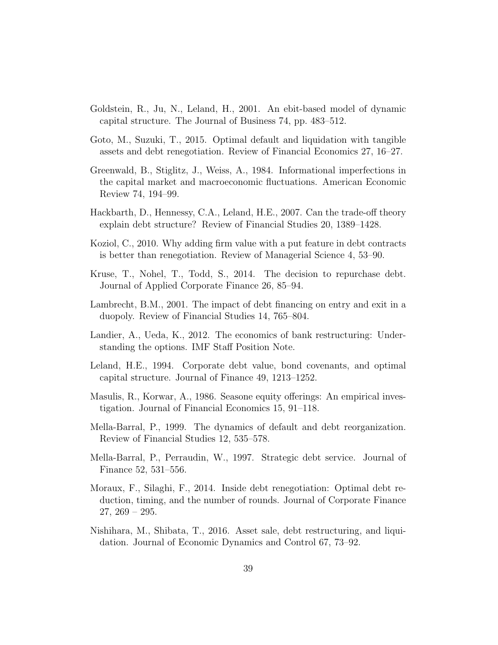- <span id="page-38-9"></span>Goldstein, R., Ju, N., Leland, H., 2001. An ebit-based model of dynamic capital structure. The Journal of Business 74, pp. 483–512.
- <span id="page-38-13"></span>Goto, M., Suzuki, T., 2015. Optimal default and liquidation with tangible assets and debt renegotiation. Review of Financial Economics 27, 16–27.
- <span id="page-38-12"></span>Greenwald, B., Stiglitz, J., Weiss, A., 1984. Informational imperfections in the capital market and macroeconomic fluctuations. American Economic Review 74, 194–99.
- <span id="page-38-11"></span>Hackbarth, D., Hennessy, C.A., Leland, H.E., 2007. Can the trade-off theory explain debt structure? Review of Financial Studies 20, 1389–1428.
- <span id="page-38-10"></span>Koziol, C., 2010. Why adding firm value with a put feature in debt contracts is better than renegotiation. Review of Managerial Science 4, 53–90.
- <span id="page-38-4"></span>Kruse, T., Nohel, T., Todd, S., 2014. The decision to repurchase debt. Journal of Applied Corporate Finance 26, 85–94.
- <span id="page-38-2"></span>Lambrecht, B.M., 2001. The impact of debt financing on entry and exit in a duopoly. Review of Financial Studies 14, 765–804.
- <span id="page-38-6"></span>Landier, A., Ueda, K., 2012. The economics of bank restructuring: Understanding the options. IMF Staff Position Note.
- <span id="page-38-8"></span>Leland, H.E., 1994. Corporate debt value, bond covenants, and optimal capital structure. Journal of Finance 49, 1213–1252.
- <span id="page-38-5"></span>Masulis, R., Korwar, A., 1986. Seasone equity offerings: An empirical investigation. Journal of Financial Economics 15, 91–118.
- <span id="page-38-1"></span>Mella-Barral, P., 1999. The dynamics of default and debt reorganization. Review of Financial Studies 12, 535–578.
- <span id="page-38-0"></span>Mella-Barral, P., Perraudin, W., 1997. Strategic debt service. Journal of Finance 52, 531–556.
- <span id="page-38-3"></span>Moraux, F., Silaghi, F., 2014. Inside debt renegotiation: Optimal debt reduction, timing, and the number of rounds. Journal of Corporate Finance 27, 269 – 295.
- <span id="page-38-7"></span>Nishihara, M., Shibata, T., 2016. Asset sale, debt restructuring, and liquidation. Journal of Economic Dynamics and Control 67, 73–92.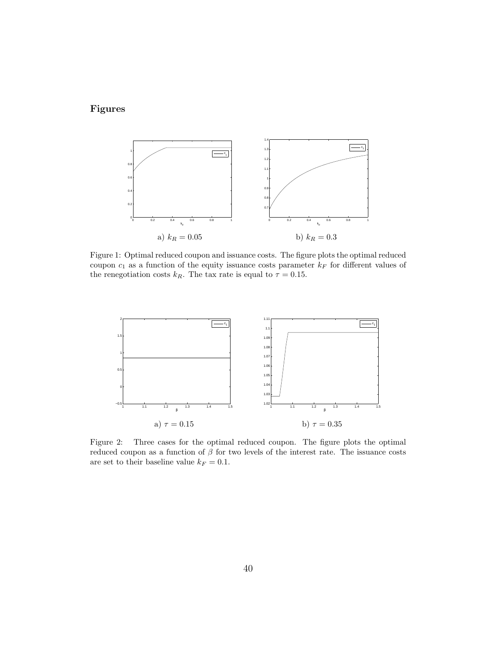# Figures



<span id="page-39-0"></span>Figure 1: Optimal reduced coupon and issuance costs. The figure plots the optimal reduced coupon  $c_1$  as a function of the equity issuance costs parameter  $k_F$  for different values of the renegotiation costs  $k_R$ . The tax rate is equal to  $\tau = 0.15$ .



<span id="page-39-1"></span>Figure 2: Three cases for the optimal reduced coupon. The figure plots the optimal reduced coupon as a function of  $\beta$  for two levels of the interest rate. The issuance costs are set to their baseline value  $k_F = 0.1$ .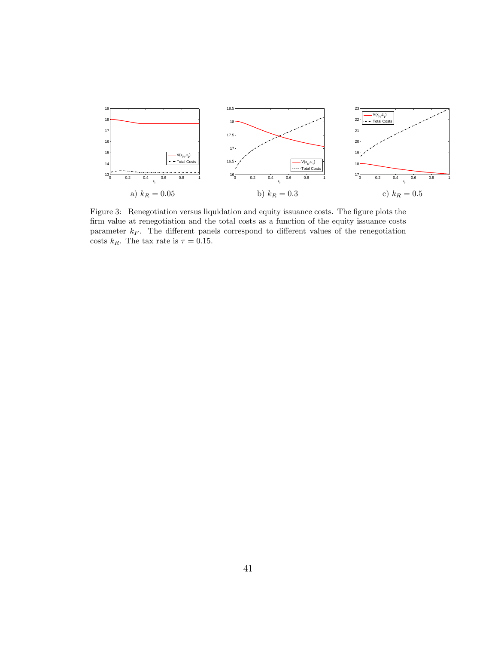

<span id="page-40-0"></span>Figure 3: Renegotiation versus liquidation and equity issuance costs. The figure plots the firm value at renegotiation and the total costs as a function of the equity issuance costs parameter  $k_F$ . The different panels correspond to different values of the renegotiation costs  $k_R.$  The tax rate is  $\tau=0.15.$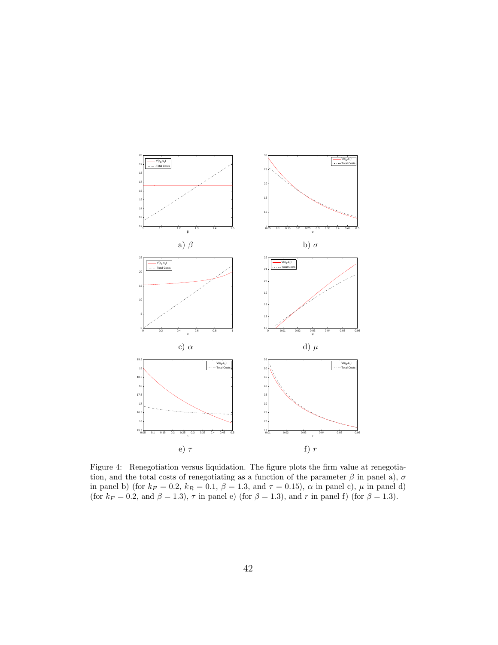

<span id="page-41-0"></span>Figure 4: Renegotiation versus liquidation. The figure plots the firm value at renegotiation, and the total costs of renegotiating as a function of the parameter  $\beta$  in panel a),  $\sigma$ in panel b) (for  $k_F = 0.2$ ,  $k_R = 0.1$ ,  $\beta = 1.3$ , and  $\tau = 0.15$ ),  $\alpha$  in panel c),  $\mu$  in panel d) (for  $k_F = 0.2$ , and  $\beta = 1.3$ ),  $\tau$  in panel e) (for  $\beta = 1.3$ ), and r in panel f) (for  $\beta = 1.3$ ).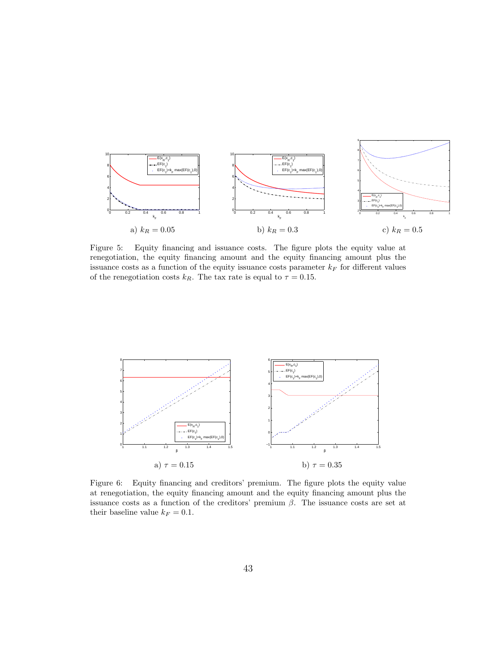

<span id="page-42-0"></span>Figure 5: Equity financing and issuance costs. The figure plots the equity value at renegotiation, the equity financing amount and the equity financing amount plus the issuance costs as a function of the equity issuance costs parameter  $k_F$  for different values of the renegotiation costs  $k_R$ . The tax rate is equal to  $\tau = 0.15$ .



<span id="page-42-1"></span>Figure 6: Equity financing and creditors' premium. The figure plots the equity value at renegotiation, the equity financing amount and the equity financing amount plus the issuance costs as a function of the creditors' premium  $\beta$ . The issuance costs are set at their baseline value  $k_F = 0.1$ .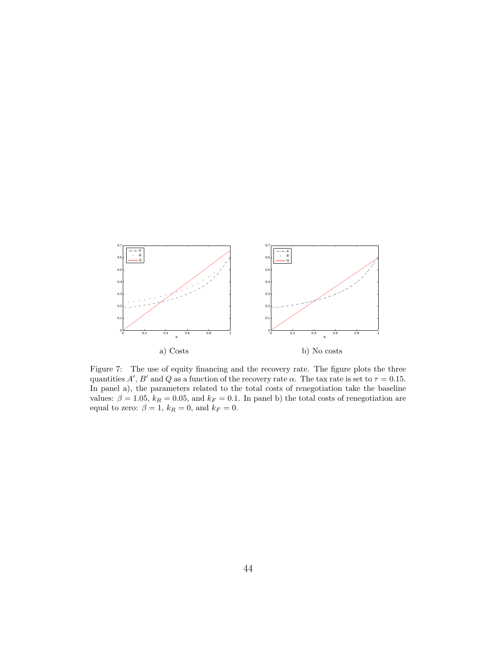

<span id="page-43-0"></span>Figure 7: The use of equity financing and the recovery rate. The figure plots the three quantities  $A', B'$  and Q as a function of the recovery rate  $\alpha$ . The tax rate is set to  $\tau = 0.15$ . In panel a), the parameters related to the total costs of renegotiation take the baseline values:  $\beta = 1.05$ ,  $k_R = 0.05$ , and  $k_F = 0.1$ . In panel b) the total costs of renegotiation are equal to zero:  $\beta = 1$ ,  $k_R = 0$ , and  $k_F = 0$ .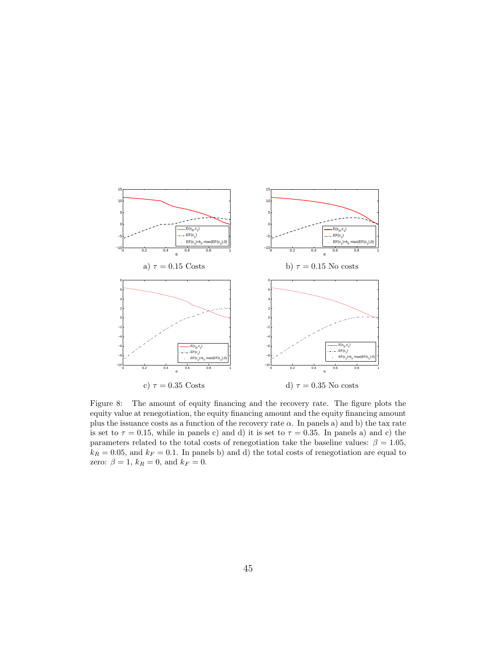

<span id="page-44-0"></span>Figure 8: The amount of equity financing and the recovery rate. The figure plots the equity value at renegotiation, the equity financing amount and the equity financing amount plus the issuance costs as a function of the recovery rate  $\alpha$ . In panels a) and b) the tax rate is set to  $\tau = 0.15$ , while in panels c) and d) it is set to  $\tau = 0.35$ . In panels a) and c) the parameters related to the total costs of renegotiation take the baseline values:  $\beta = 1.05$ ,  $k_R = 0.05$ , and  $k_F = 0.1$ . In panels b) and d) the total costs of renegotiation are equal to zero:  $\beta = 1$ ,  $k_R = 0$ , and  $k_F = 0$ .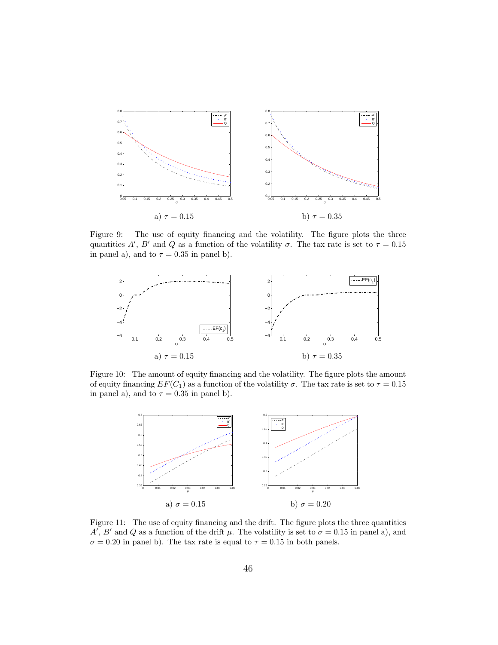

<span id="page-45-0"></span>Figure 9: The use of equity financing and the volatility. The figure plots the three quantities A', B' and Q as a function of the volatility  $\sigma$ . The tax rate is set to  $\tau = 0.15$ in panel a), and to  $\tau = 0.35$  in panel b).



<span id="page-45-1"></span>Figure 10: The amount of equity financing and the volatility. The figure plots the amount of equity financing  $EF(C_1)$  as a function of the volatility  $\sigma$ . The tax rate is set to  $\tau = 0.15$ in panel a), and to  $\tau = 0.35$  in panel b).



<span id="page-45-2"></span>Figure 11: The use of equity financing and the drift. The figure plots the three quantities A', B' and Q as a function of the drift  $\mu$ . The volatility is set to  $\sigma = 0.15$  in panel a), and  $\sigma = 0.20$  in panel b). The tax rate is equal to  $\tau = 0.15$  in both panels.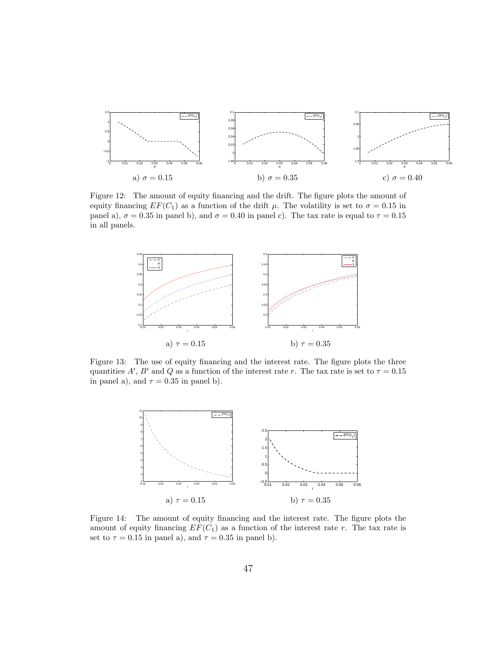

<span id="page-46-0"></span>Figure 12: The amount of equity financing and the drift. The figure plots the amount of equity financing  $EF(C_1)$  as a function of the drift  $\mu$ . The volatility is set to  $\sigma = 0.15$  in panel a),  $\sigma = 0.35$  in panel b), and  $\sigma = 0.40$  in panel c). The tax rate is equal to  $\tau = 0.15$ in all panels.



<span id="page-46-1"></span>Figure 13: The use of equity financing and the interest rate. The figure plots the three quantities A', B' and Q as a function of the interest rate r. The tax rate is set to  $\tau = 0.15$ in panel a), and  $\tau = 0.35$  in panel b).



<span id="page-46-2"></span>Figure 14: The amount of equity financing and the interest rate. The figure plots the amount of equity financing  $EF(C_1)$  as a function of the interest rate r. The tax rate is set to  $\tau = 0.15$  in panel a), and  $\tau = 0.35$  in panel b).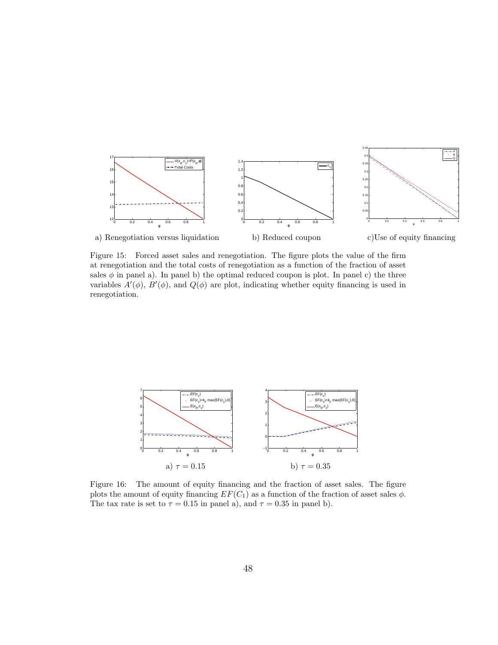

<span id="page-47-0"></span>Figure 15: Forced asset sales and renegotiation. The figure plots the value of the firm at renegotiation and the total costs of renegotiation as a function of the fraction of asset sales  $\phi$  in panel a). In panel b) the optimal reduced coupon is plot. In panel c) the three variables  $A'(\phi)$ ,  $B'(\phi)$ , and  $Q(\phi)$  are plot, indicating whether equity financing is used in renegotiation.



<span id="page-47-1"></span>Figure 16: The amount of equity financing and the fraction of asset sales. The figure plots the amount of equity financing  $EF(C_1)$  as a function of the fraction of asset sales  $\phi$ . The tax rate is set to  $\tau = 0.15$  in panel a), and  $\tau = 0.35$  in panel b).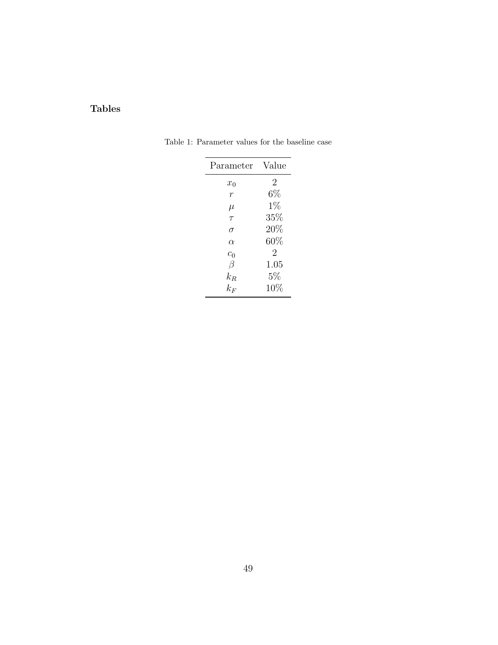# Tables

<span id="page-48-0"></span>

| Parameter      | Value  |
|----------------|--------|
| $x_0$          | 2      |
| $\overline{r}$ | $6\%$  |
| $\mu$          | $1\%$  |
| $\tau$         | 35%    |
| σ              | 20%    |
| $\alpha$       | $60\%$ |
| $c_0$          | 2      |
| $\beta$        | 1.05   |
| $k_{B}$        | $5\%$  |
| $k_F\,$        | 10%    |

Table 1: Parameter values for the baseline case